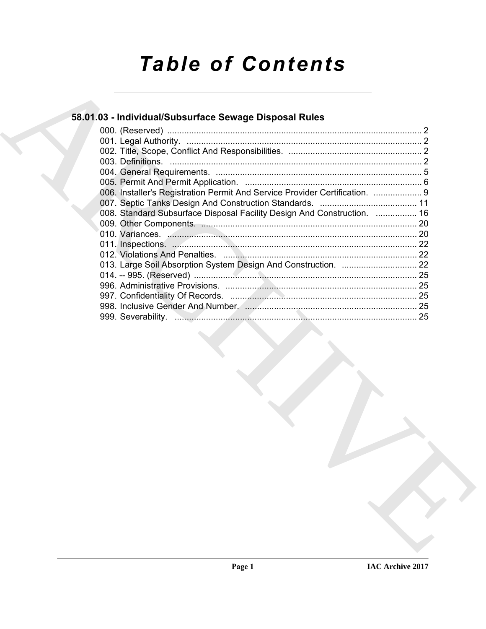# *Table of Contents*

## **58.01.03 - Individual/Subsurface Sewage Disposal Rules**

| 58.01.03 - Individual/Subsurface Sewage Disposal Rules                      |  |
|-----------------------------------------------------------------------------|--|
|                                                                             |  |
|                                                                             |  |
|                                                                             |  |
|                                                                             |  |
|                                                                             |  |
| 006. Installer's Registration Permit And Service Provider Certification.  9 |  |
| 008. Standard Subsurface Disposal Facility Design And Construction.  16     |  |
|                                                                             |  |
|                                                                             |  |
|                                                                             |  |
|                                                                             |  |
|                                                                             |  |
|                                                                             |  |
|                                                                             |  |
|                                                                             |  |
|                                                                             |  |
|                                                                             |  |
|                                                                             |  |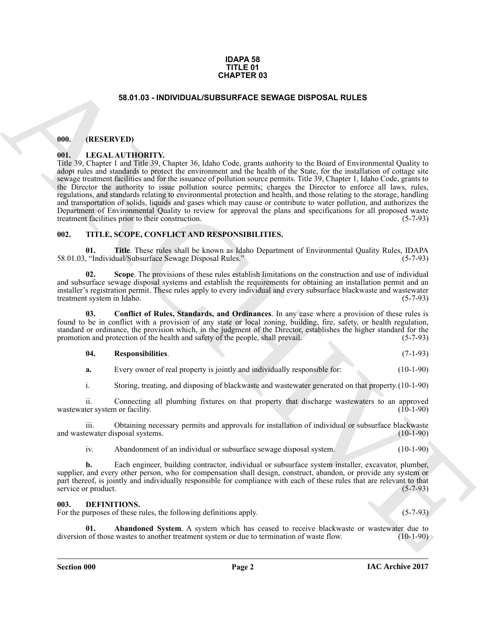#### **IDAPA 58 TITLE 01 CHAPTER 03**

#### **58.01.03 - INDIVIDUAL/SUBSURFACE SEWAGE DISPOSAL RULES**

#### <span id="page-1-1"></span><span id="page-1-0"></span>**000. (RESERVED)**

#### <span id="page-1-2"></span>**001. LEGAL AUTHORITY.**

**EXACTER OS**<br> **SES D.1.03 - INDIVIDUAL-SUBSURFACE SEVAGE DISPOSAL RULES**<br>
(III). IEEN LATIN INDIVIDUAL-SUBSURFACE SEVAGE DISPOSAL RULES<br>
(III). IEEN LATIN INDIVIDUAL-SUBSURFACE SEVAGE DISPOSAL RULES<br>
1.000 - IEEN LATIN IN Title 39, Chapter 1 and Title 39, Chapter 36, Idaho Code, grants authority to the Board of Environmental Quality to adopt rules and standards to protect the environment and the health of the State, for the installation of cottage site sewage treatment facilities and for the issuance of pollution source permits. Title 39, Chapter 1, Idaho Code, grants to the Director the authority to issue pollution source permits; charges the Director to enforce all laws, rules, regulations, and standards relating to environmental protection and health, and those relating to the storage, handling and transportation of solids, liquids and gases which may cause or contribute to water pollution, and authorizes the Department of Environmental Quality to review for approval the plans and specifications for all proposed waste treatment facilities prior to their construction. (5-7-93) treatment facilities prior to their construction.

#### <span id="page-1-7"></span><span id="page-1-3"></span>**002. TITLE, SCOPE, CONFLICT AND RESPONSIBILITIES.**

<span id="page-1-11"></span>**01. Title**. These rules shall be known as Idaho Department of Environmental Quality Rules, IDAPA<br>
"Individual/Subsurface Sewage Disposal Rules." (5-7-93) 58.01.03, "Individual/Subsurface Sewage Disposal Rules."

<span id="page-1-10"></span>**02. Scope**. The provisions of these rules establish limitations on the construction and use of individual and subsurface sewage disposal systems and establish the requirements for obtaining an installation permit and an installer's registration permit. These rules apply to every individual and every subsurface blackwaste and wastewater treatment system in Idaho.

**03. Conflict of Rules, Standards, and Ordinances**. In any case where a provision of these rules is found to be in conflict with a provision of any state or local zoning, building, fire, safety, or health regulation, standard or ordinance, the provision which, in the judgment of the Director, establishes the higher standard for the promotion and protection of the health and safety of the people, shall prevail. (5-7-93) promotion and protection of the health and safety of the people, shall prevail.

#### <span id="page-1-9"></span><span id="page-1-8"></span>**04. Responsibilities**. (7-1-93)

**a.** Every owner of real property is jointly and individually responsible for: (10-1-90)

i. Storing, treating, and disposing of blackwaste and wastewater generated on that property.(10-1-90)

ii. Connecting all plumbing fixtures on that property that discharge wastewaters to an approved wastewater system or facility.

iii. Obtaining necessary permits and approvals for installation of individual or subsurface blackwaste ewater disposal systems. (10-1-90) and wastewater disposal systems.

iv. Abandonment of an individual or subsurface sewage disposal system. (10-1-90)

**b.** Each engineer, building contractor, individual or subsurface system installer, excavator, plumber, supplier, and every other person, who for compensation shall design, construct, abandon, or provide any system or part thereof, is jointly and individually responsible for compliance with each of these rules that are relevant to that service or product. (5-7-93) service or product.

#### <span id="page-1-5"></span><span id="page-1-4"></span>**003. DEFINITIONS.**

For the purposes of these rules, the following definitions apply. (5-7-93)

<span id="page-1-6"></span>**Abandoned System**. A system which has ceased to receive blackwaste or wastewater due to wastes to another treatment system or due to termination of waste flow. (10-1-90) diversion of those wastes to another treatment system or due to termination of waste flow.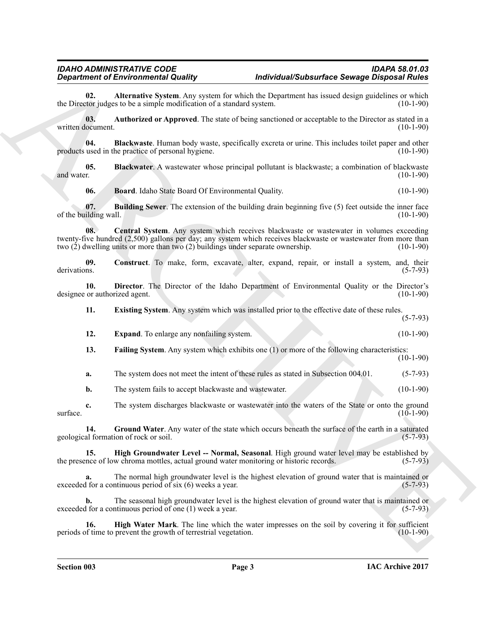<span id="page-2-0"></span>**02.** Alternative System. Any system for which the Department has issued design guidelines or which tor judges to be a simple modification of a standard system. (10-1-90) the Director judges to be a simple modification of a standard system.

<span id="page-2-1"></span>**03. Authorized or Approved**. The state of being sanctioned or acceptable to the Director as stated in a written document. (10-1-90)

<span id="page-2-2"></span>**04.** Blackwaste. Human body waste, specifically excreta or urine. This includes toilet paper and other used in the practice of personal hygiene. (10-1-90) products used in the practice of personal hygiene.

**05. Blackwater**. A wastewater whose principal pollutant is blackwaste; a combination of blackwaste (10-1-90) and water. (10-1-90)

<span id="page-2-6"></span><span id="page-2-5"></span><span id="page-2-4"></span><span id="page-2-3"></span>**06. Board**. Idaho State Board Of Environmental Quality. (10-1-90)

**07. Building Sewer**. The extension of the building drain beginning five (5) feet outside the inner face ilding wall. (10-1-90) of the building wall.

**Expansion of Electronical Eduality Constraint Constraint Constraint Expansion Constraint Constraint Constraint Constraint Constraint Constraint Constraint Constraint Constraint Constraint Constraint Constraint Constraint 08.** Central System. Any system which receives blackwaste or wastewater in volumes exceeding twenty-five hundred (2,500) gallons per day; any system which receives blackwaste or wastewater from more than two (2) dwelling units or more than two (2) buildings under separate ownership. (10-1-90) two  $(2)$  dwelling units or more than two  $(2)$  buildings under separate ownership.

<span id="page-2-7"></span>**09.** Construct. To make, form, excavate, alter, expand, repair, or install a system, and, their derivations. (5-7-93) derivations. (5-7-93)

**10. Director**. The Director of the Idaho Department of Environmental Quality or the Director's or authorized agent. (10-1-90) designee or authorized agent.

<span id="page-2-9"></span><span id="page-2-8"></span>**11. Existing System**. Any system which was installed prior to the effective date of these rules. (5-7-93)

<span id="page-2-10"></span>

| 12. | <b>Expand.</b> To enlarge any nonfailing system. | $(10-1-90)$ |
|-----|--------------------------------------------------|-------------|

<span id="page-2-11"></span>**13. Failing System**. Any system which exhibits one (1) or more of the following characteristics: (10-1-90)

**a.** The system does not meet the intent of these rules as stated in Subsection 004.01. (5-7-93)

<span id="page-2-12"></span>**b.** The system fails to accept blackwaste and wastewater. (10-1-90)

**c.** The system discharges blackwaste or wastewater into the waters of the State or onto the ground (10-1-90)  $\text{surface.}$  (10-1-90)

**14.** Ground Water. Any water of the state which occurs beneath the surface of the earth in a saturated al formation of rock or soil. (5-7-93) geological formation of rock or soil.

<span id="page-2-13"></span>**15. High Groundwater Level -- Normal, Seasonal**. High ground water level may be established by nce of low chroma mottles, actual ground water monitoring or historic records. (5-7-93) the presence of low chroma mottles, actual ground water monitoring or historic records.

The normal high groundwater level is the highest elevation of ground water that is maintained or ntinuous period of six (6) weeks a year. exceeded for a continuous period of six  $(6)$  weeks a year.

**b.** The seasonal high groundwater level is the highest elevation of ground water that is maintained or 1 for a continuous period of one (1) week a year. (5-7-93) exceeded for a continuous period of one  $(1)$  week a year.

<span id="page-2-14"></span>**16. High Water Mark**. The line which the water impresses on the soil by covering it for sufficient of time to prevent the growth of terrestrial vegetation. (10-1-90) periods of time to prevent the growth of terrestrial vegetation.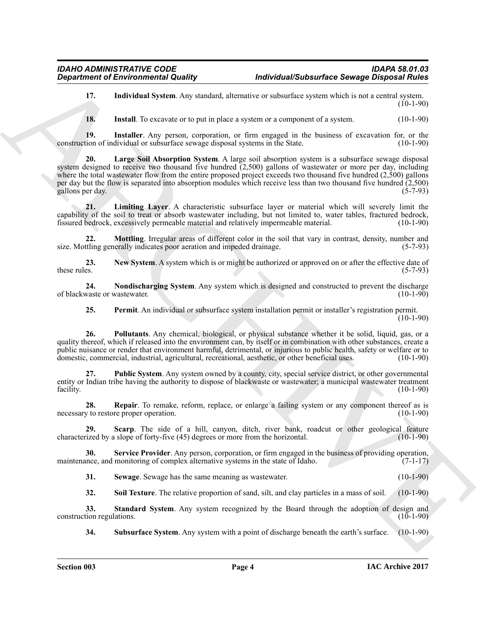<span id="page-3-0"></span>**17. Individual System**. Any standard, alternative or subsurface system which is not a central system.  $(10-1-90)$ 

<span id="page-3-3"></span><span id="page-3-2"></span><span id="page-3-1"></span>**18.** Install. To excavate or to put in place a system or a component of a system.  $(10-1-90)$ 

**19.** Installer. Any person, corporation, or firm engaged in the business of excavation for, or the tion of individual or subsurface sewage disposal systems in the State. (10-1-90) construction of individual or subsurface sewage disposal systems in the State.

**Department of Environmental Quality<br>
11.** Institute the state and the state and the state of the state of the state of the state of the state of the state of the state of the state of the state of the state of the state **20. Large Soil Absorption System**. A large soil absorption system is a subsurface sewage disposal system designed to receive two thousand five hundred (2,500) gallons of wastewater or more per day, including where the total wastewater flow from the entire proposed project exceeds two thousand five hundred  $(2,500)$  gallons per day but the flow is separated into absorption modules which receive less than two thousand five hundred  $(2,500)$  gallons per day. gallons per day.

<span id="page-3-4"></span>**21. Limiting Layer**. A characteristic subsurface layer or material which will severely limit the capability of the soil to treat or absorb wastewater including, but not limited to, water tables, fractured bedrock, fissured bedrock, excessively permeable material and relatively impermeable material.

<span id="page-3-5"></span>**22. Mottling**. Irregular areas of different color in the soil that vary in contrast, density, number and thing generally indicates poor aeration and impeded drainage. (5-7-93) size. Mottling generally indicates poor aeration and impeded drainage.

<span id="page-3-6"></span>**23.** New System. A system which is or might be authorized or approved on or after the effective date of these rules. (5-7-93) these rules.  $(5-7-93)$ 

**24.** Nondischarging System. Any system which is designed and constructed to prevent the discharge waste or wastewater. (10-1-90) of blackwaste or wastewater.

<span id="page-3-9"></span><span id="page-3-8"></span><span id="page-3-7"></span>**25. Permit**. An individual or subsurface system installation permit or installer's registration permit.

 $(10-1-90)$ 

**26. Pollutants**. Any chemical, biological, or physical substance whether it be solid, liquid, gas, or a quality thereof, which if released into the environment can, by itself or in combination with other substances, create a public nuisance or render that environment harmful, detrimental, or injurious to public health, safety or welfare or to domestic, commercial, industrial, agricultural, recreational, aesthetic, or other beneficial uses. (10-1-90)

<span id="page-3-10"></span>**27. Public System**. Any system owned by a county, city, special service district, or other governmental entity or Indian tribe having the authority to dispose of blackwaste or wastewater; a municipal wastewater treatment facility. (10-1-90) facility. (10-1-90)

<span id="page-3-11"></span>**28. Repair**. To remake, reform, replace, or enlarge a failing system or any component thereof as is v to restore proper operation. (10-1-90) necessary to restore proper operation.

<span id="page-3-12"></span>**29.** Scarp. The side of a hill, canyon, ditch, river bank, roadcut or other geological feature ized by a slope of forty-five (45) degrees or more from the horizontal. (10-1-90) characterized by a slope of forty-five (45) degrees or more from the horizontal.

**30.** Service Provider. Any person, corporation, or firm engaged in the business of providing operation, nnce, and monitoring of complex alternative systems in the state of Idaho. (7-1-17) maintenance, and monitoring of complex alternative systems in the state of Idaho.

<span id="page-3-14"></span><span id="page-3-13"></span>**31. Sewage**. Sewage has the same meaning as wastewater. (10-1-90)

<span id="page-3-16"></span><span id="page-3-15"></span>**32.** Soil Texture. The relative proportion of sand, silt, and clay particles in a mass of soil. (10-1-90)

**33. Standard System**. Any system recognized by the Board through the adoption of design and construction regulations. (10-1-90)

<span id="page-3-17"></span>**34. Subsurface System**. Any system with a point of discharge beneath the earth's surface. (10-1-90)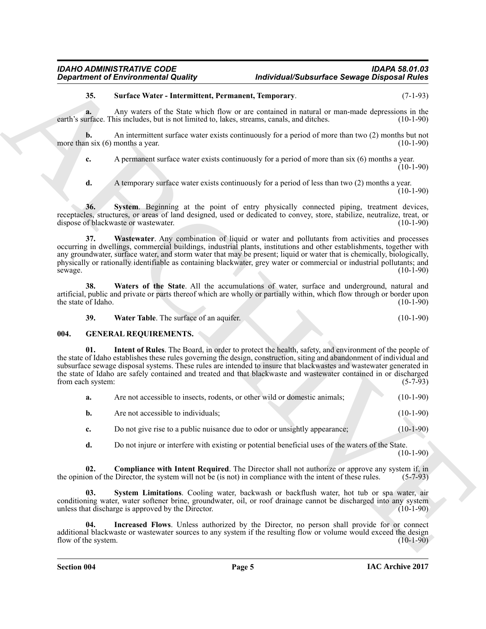<span id="page-4-1"></span>**35. Surface Water - Intermittent, Permanent, Temporary**. (7-1-93)

**a.** Any waters of the State which flow or are contained in natural or man-made depressions in the urface. This includes, but is not limited to, lakes, streams, canals, and ditches. (10-1-90) earth's surface. This includes, but is not limited to, lakes, streams, canals, and ditches.

**b.** An intermittent surface water exists continuously for a period of more than two (2) months but not n six (6) months a year. (10-1-90) more than six  $(6)$  months a year.

**c.** A permanent surface water exists continuously for a period of more than six (6) months a year.  $(10-1-90)$ 

<span id="page-4-3"></span><span id="page-4-2"></span>**d.** A temporary surface water exists continuously for a period of less than two (2) months a year.  $(10-1-90)$ 

**36. System**. Beginning at the point of entry physically connected piping, treatment devices, receptacles, structures, or areas of land designed, used or dedicated to convey, store, stabilize, neutralize, treat, or dispose of blackwaste or wastewater.

**Experiment of Environmental Quality.** The Vertex and the space of some are the space of the space of the space of the space of the space of the space of the space of the space of the space of the space of the space of th **37. Wastewater**. Any combination of liquid or water and pollutants from activities and processes occurring in dwellings, commercial buildings, industrial plants, institutions and other establishments, together with any groundwater, surface water, and storm water that may be present; liquid or water that is chemically, biologically, physically or rationally identifiable as containing blackwater, grey water or commercial or industrial pollutants; and sewage. (10-1-90)

**38. Waters of the State**. All the accumulations of water, surface and underground, natural and artificial, public and private or parts thereof which are wholly or partially within, which flow through or border upon<br>the state of Idaho. (10-1-90) the state of Idaho.

<span id="page-4-9"></span><span id="page-4-6"></span><span id="page-4-5"></span><span id="page-4-4"></span>**39.** Water Table. The surface of an aquifer. (10-1-90)

### <span id="page-4-0"></span>**004. GENERAL REQUIREMENTS.**

**Intent of Rules**. The Board, in order to protect the health, safety, and environment of the people of the state of Idaho establishes these rules governing the design, construction, siting and abandonment of individual and subsurface sewage disposal systems. These rules are intended to insure that blackwastes and wastewater generated in the state of Idaho are safely contained and treated and that blackwaste and wastewater contained in or discharged<br>from each system: (5-7-93) from each system:

| а. | Are not accessible to insects, rodents, or other wild or domestic animals; | $(10-1-90)$ |
|----|----------------------------------------------------------------------------|-------------|
| b. | Are not accessible to individuals:                                         | $(10-1-90)$ |
|    |                                                                            |             |

**c.** Do not give rise to a public nuisance due to odor or unsightly appearance; (10-1-90)

<span id="page-4-10"></span><span id="page-4-7"></span>**d.** Do not injure or interfere with existing or potential beneficial uses of the waters of the State. (10-1-90)

**Compliance with Intent Required**. The Director shall not authorize or approve any system if, in Director, the system will not be (is not) in compliance with the intent of these rules. (5-7-93) the opinion of the Director, the system will not be (is not) in compliance with the intent of these rules.

**03. System Limitations**. Cooling water, backwash or backflush water, hot tub or spa water, air conditioning water, water softener brine, groundwater, oil, or roof drainage cannot be discharged into any system<br>unless that discharge is approved by the Director. (10-1-90) unless that discharge is approved by the Director.

<span id="page-4-8"></span>**04. Increased Flows**. Unless authorized by the Director, no person shall provide for or connect additional blackwaste or wastewater sources to any system if the resulting flow or volume would exceed the design flow of the system.  $(10-1-90)$ flow of the system.

*Department of Environmental Quality Individual/Subsurface Sewage Disposal Rules*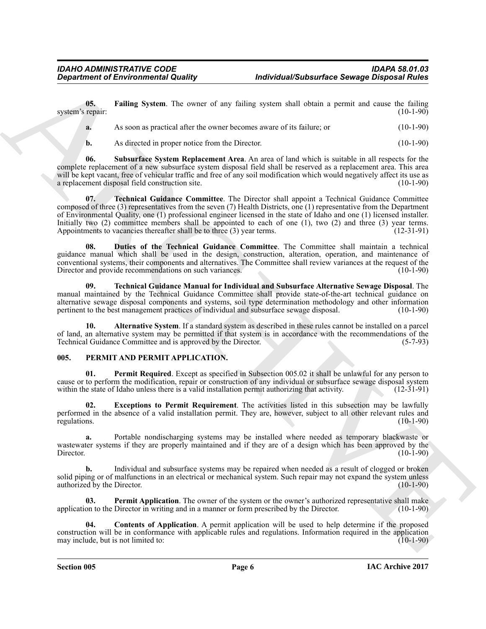**05. Failing System**. The owner of any failing system shall obtain a permit and cause the failing repair: (10-1-90) system's repair:

<span id="page-5-3"></span>

| As soon as practical after the owner becomes aware of its failure; or | $(10-1-90)$ |
|-----------------------------------------------------------------------|-------------|
|                                                                       |             |

<span id="page-5-5"></span><span id="page-5-4"></span>**b.** As directed in proper notice from the Director. (10-1-90)

**06. Subsurface System Replacement Area**. An area of land which is suitable in all respects for the complete replacement of a new subsurface system disposal field shall be reserved as a replacement area. This area will be kept vacant, free of vehicular traffic and free of any soil modification which would negatively affect its use as a replacement disposal field construction site. (10-1-90) a replacement disposal field construction site.

**Exparament of Environmental Quality the United Subsection Several in the same of the same of the same of the same of the same of the same of the same of the same of the same of the same of the same of the same of the sam 07. Technical Guidance Committee**. The Director shall appoint a Technical Guidance Committee composed of three (3) representatives from the seven (7) Health Districts, one (1) representative from the Department of Environmental Quality, one (1) professional engineer licensed in the state of Idaho and one (1) licensed installer. Initially two (2) committee members shall be appointed to each of one (1), two (2) and three (3) year terms.<br>Appointments to vacancies thereafter shall be to three (3) year terms. (12-31-91) Appointments to vacancies thereafter shall be to three  $(3)$  year terms.

<span id="page-5-2"></span>**08. Duties of the Technical Guidance Committee**. The Committee shall maintain a technical guidance manual which shall be used in the design, construction, alteration, operation, and maintenance of conventional systems, their components and alternatives. The Committee shall review variances at the request of the Director and provide recommendations on such variances. (10-1-90)

<span id="page-5-6"></span>**09. Technical Guidance Manual for Individual and Subsurface Alternative Sewage Disposal**. The manual maintained by the Technical Guidance Committee shall provide state-of-the-art technical guidance on alternative sewage disposal components and systems, soil type determination methodology and other information pertinent to the best management practices of individual and subsurface sewage disposal. (10-1-90) pertinent to the best management practices of individual and subsurface sewage disposal.

<span id="page-5-1"></span>**10. Alternative System**. If a standard system as described in these rules cannot be installed on a parcel of land, an alternative system may be permitted if that system is in accordance with the recommendations of the Technical Guidance Committee and is approved by the Director. (5-7-93) Technical Guidance Committee and is approved by the Director.

#### <span id="page-5-7"></span><span id="page-5-0"></span>**005. PERMIT AND PERMIT APPLICATION.**

<span id="page-5-11"></span>**01. Permit Required**. Except as specified in Subsection 005.02 it shall be unlawful for any person to cause or to perform the modification, repair or construction of any individual or subsurface sewage disposal system within the state of Idaho unless there is a valid installation permit authorizing that activity. (12-31-91 within the state of Idaho unless there is a valid installation permit authorizing that activity.

<span id="page-5-9"></span>**02. Exceptions to Permit Requirement**. The activities listed in this subsection may be lawfully performed in the absence of a valid installation permit. They are, however, subject to all other relevant rules and regulations. (10-1-90) regulations.  $(10-1-90)$ 

**a.** Portable nondischarging systems may be installed where needed as temporary blackwaste or wastewater systems if they are properly maintained and if they are of a design which has been approved by the Director. (10-1-90) Director. (10-1-90)

**b.** Individual and subsurface systems may be repaired when needed as a result of clogged or broken solid piping or of malfunctions in an electrical or mechanical system. Such repair may not expand the system unless authorized by the Director. (10-1-90) authorized by the Director.

<span id="page-5-10"></span>**03. Permit Application**. The owner of the system or the owner's authorized representative shall make on to the Director in writing and in a manner or form prescribed by the Director. (10-1-90) application to the Director in writing and in a manner or form prescribed by the Director.

<span id="page-5-8"></span>**04. Contents of Application**. A permit application will be used to help determine if the proposed construction will be in conformance with applicable rules and regulations. Information required in the application may include, but is not limited to: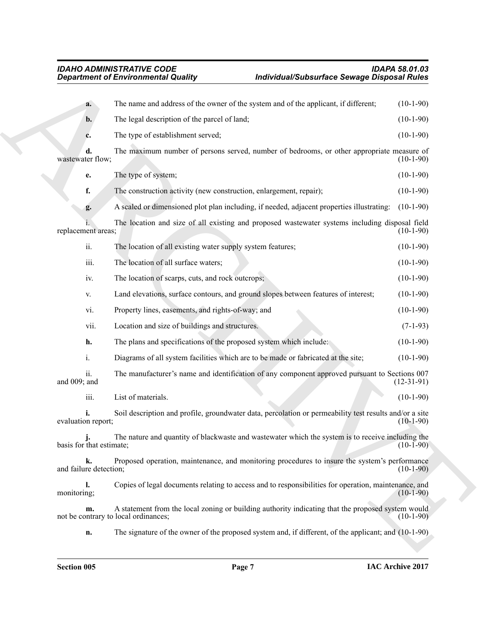|                                            | Individual/Subsurface Sewage Disposal Rules<br><b>Department of Environmental Quality</b>              |              |
|--------------------------------------------|--------------------------------------------------------------------------------------------------------|--------------|
| a.                                         | The name and address of the owner of the system and of the applicant, if different;                    | $(10-1-90)$  |
| b.                                         | The legal description of the parcel of land;                                                           | $(10-1-90)$  |
| c.                                         | The type of establishment served;                                                                      | $(10-1-90)$  |
| d.<br>wastewater flow;                     | The maximum number of persons served, number of bedrooms, or other appropriate measure of              | $(10-1-90)$  |
| e.                                         | The type of system;                                                                                    | $(10-1-90)$  |
| f.                                         | The construction activity (new construction, enlargement, repair);                                     | $(10-1-90)$  |
| g.                                         | A scaled or dimensioned plot plan including, if needed, adjacent properties illustrating:              | $(10-1-90)$  |
| replacement areas;                         | The location and size of all existing and proposed wastewater systems including disposal field         | $(10-1-90)$  |
| ii.                                        | The location of all existing water supply system features;                                             | $(10-1-90)$  |
| iii.                                       | The location of all surface waters;                                                                    | $(10-1-90)$  |
| iv.                                        | The location of scarps, cuts, and rock outcrops;                                                       | $(10-1-90)$  |
| V.                                         | Land elevations, surface contours, and ground slopes between features of interest;                     | $(10-1-90)$  |
| vi.                                        | Property lines, easements, and rights-of-way; and                                                      | $(10-1-90)$  |
| vii.                                       | Location and size of buildings and structures.                                                         | $(7-1-93)$   |
| h.                                         | The plans and specifications of the proposed system which include:                                     | $(10-1-90)$  |
| i.                                         | Diagrams of all system facilities which are to be made or fabricated at the site;                      | $(10-1-90)$  |
| ii.<br>and 009; and                        | The manufacturer's name and identification of any component approved pursuant to Sections 007          | $(12-31-91)$ |
| iii.                                       | List of materials.                                                                                     | $(10-1-90)$  |
| evaluation report;                         | Soil description and profile, groundwater data, percolation or permeability test results and/or a site | $(10-1-90)$  |
| basis for that estimate;                   | The nature and quantity of blackwaste and wastewater which the system is to receive including the      | $(10-1-90)$  |
| k.<br>and failure detection;               | Proposed operation, maintenance, and monitoring procedures to insure the system's performance          | $(10-1-90)$  |
| ı.<br>monitoring;                          | Copies of legal documents relating to access and to responsibilities for operation, maintenance, and   | $(10-1-90)$  |
| m.<br>not be contrary to local ordinances; | A statement from the local zoning or building authority indicating that the proposed system would      | $(10-1-90)$  |
| n.                                         | The signature of the owner of the proposed system and, if different, of the applicant; and (10-1-90)   |              |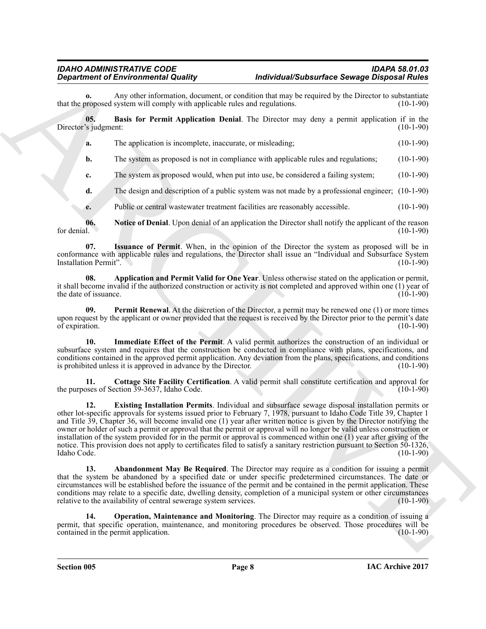Any other information, document, or condition that may be required by the Director to substantiate system will comply with applicable rules and regulations. (10-1-90) that the proposed system will comply with applicable rules and regulations.

**05. Basis for Permit Application Denial**. The Director may deny a permit application if in the Director's judgment: (10-1-90)

<span id="page-7-2"></span>**a.** The application is incomplete, inaccurate, or misleading; (10-1-90)

**b.** The system as proposed is not in compliance with applicable rules and regulations; (10-1-90)

**c.** The system as proposed would, when put into use, be considered a failing system; (10-1-90)

**d.** The design and description of a public system was not made by a professional engineer; (10-1-90)

<span id="page-7-7"></span><span id="page-7-6"></span>**e.** Public or central wastewater treatment facilities are reasonably accessible. (10-1-90)

**06.** Notice of Denial. Upon denial of an application the Director shall notify the applicant of the reason for denial. (10-1-90) for denial.  $(10-1-90)$ 

**07. Issuance of Permit**. When, in the opinion of the Director the system as proposed will be in conformance with applicable rules and regulations, the Director shall issue an "Individual and Subsurface System Installation Permit".

<span id="page-7-1"></span>**08. Application and Permit Valid for One Year**. Unless otherwise stated on the application or permit, it shall become invalid if the authorized construction or activity is not completed and approved within one (1) year of<br>the date of issuance. (10-1-90) the date of issuance.

<span id="page-7-9"></span>**09. Permit Renewal**. At the discretion of the Director, a permit may be renewed one (1) or more times upon request by the applicant or owner provided that the request is received by the Director prior to the permit's date<br>of expiration. (10-1-90) of expiration.

<span id="page-7-5"></span>**10. Immediate Effect of the Permit**. A valid permit authorizes the construction of an individual or subsurface system and requires that the construction be conducted in compliance with plans, specifications, and conditions contained in the approved permit application. Any deviation from the plans, specifications, and conditions is prohibited unless it is approved in advance by the Director. (10-1-90) is prohibited unless it is approved in advance by the Director.

<span id="page-7-4"></span><span id="page-7-3"></span>**11. Cottage Site Facility Certification**. A valid permit shall constitute certification and approval for the purposes of Section 39-3637, Idaho Code.

**Department of Environmental Quality**. Under the interesting the strengthening of the latenties of the strengthening of the strengthening of the strengthening of the strengthening of the strengthening of the strengthening **12. Existing Installation Permits**. Individual and subsurface sewage disposal installation permits or other lot-specific approvals for systems issued prior to February 7, 1978, pursuant to Idaho Code Title 39, Chapter 1 and Title 39, Chapter 36, will become invalid one (1) year after written notice is given by the Director notifying the owner or holder of such a permit or approval that the permit or approval will no longer be valid unless construction or installation of the system provided for in the permit or approval is commenced within one (1) year after giving of the notice. This provision does not apply to certificates filed to satisfy a sanitary restriction pursuant to Section 50-1326,<br>Idaho Code. (10-1-90) Idaho Code. (10-1-90)

<span id="page-7-0"></span>**Abandonment May Be Required**. The Director may require as a condition for issuing a permit that the system be abandoned by a specified date or under specific predetermined circumstances. The date or circumstances will be established before the issuance of the permit and be contained in the permit application. These conditions may relate to a specific date, dwelling density, completion of a municipal system or other circumstances relative to the availability of central sewerage system services. (10-1-90)

<span id="page-7-8"></span>**14. Operation, Maintenance and Monitoring**. The Director may require as a condition of issuing a permit, that specific operation, maintenance, and monitoring procedures be observed. Those procedures will be contained in the permit application. (10-1-90) contained in the permit application.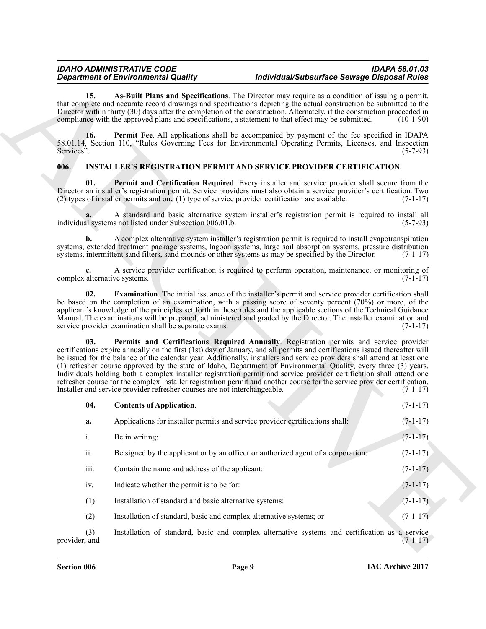#### <span id="page-8-7"></span><span id="page-8-6"></span><span id="page-8-5"></span><span id="page-8-4"></span><span id="page-8-3"></span><span id="page-8-2"></span><span id="page-8-1"></span><span id="page-8-0"></span>**006. INSTALLER'S REGISTRATION PERMIT AND SERVICE PROVIDER CERTIFICATION.**

|                              | <b>Department of Environmental Quality</b>                                                       | Individual/Subsurface Sewage Disposal Rules                                                                                                                                                                                                                                                                                                                                                                                                                                                                                                                                                                                                                                                                                 |             |
|------------------------------|--------------------------------------------------------------------------------------------------|-----------------------------------------------------------------------------------------------------------------------------------------------------------------------------------------------------------------------------------------------------------------------------------------------------------------------------------------------------------------------------------------------------------------------------------------------------------------------------------------------------------------------------------------------------------------------------------------------------------------------------------------------------------------------------------------------------------------------------|-------------|
| 15.                          |                                                                                                  | As-Built Plans and Specifications. The Director may require as a condition of issuing a permit,<br>that complete and accurate record drawings and specifications depicting the actual construction be submitted to the<br>Director within thirty (30) days after the completion of the construction. Alternately, if the construction proceeded in<br>compliance with the approved plans and specifications, a statement to that effect may be submitted.                                                                                                                                                                                                                                                                   | $(10-1-90)$ |
| 16.<br>Services".            |                                                                                                  | Permit Fee. All applications shall be accompanied by payment of the fee specified in IDAPA<br>58.01.14, Section 110, "Rules Governing Fees for Environmental Operating Permits, Licenses, and Inspection                                                                                                                                                                                                                                                                                                                                                                                                                                                                                                                    | $(5-7-93)$  |
| 006.                         |                                                                                                  | <b>INSTALLER'S REGISTRATION PERMIT AND SERVICE PROVIDER CERTIFICATION.</b>                                                                                                                                                                                                                                                                                                                                                                                                                                                                                                                                                                                                                                                  |             |
| 01.                          | (2) types of installer permits and one (1) type of service provider certification are available. | Permit and Certification Required. Every installer and service provider shall secure from the<br>Director an installer's registration permit. Service providers must also obtain a service provider's certification. Two                                                                                                                                                                                                                                                                                                                                                                                                                                                                                                    | $(7-1-17)$  |
|                              | individual systems not listed under Subsection 006.01.b.                                         | A standard and basic alternative system installer's registration permit is required to install all                                                                                                                                                                                                                                                                                                                                                                                                                                                                                                                                                                                                                          | $(5-7-93)$  |
| $\mathbf{b}$ .               |                                                                                                  | A complex alternative system installer's registration permit is required to install evapotranspiration<br>systems, extended treatment package systems, lagoon systems, large soil absorption systems, pressure distribution<br>systems, intermittent sand filters, sand mounds or other systems as may be specified by the Director.                                                                                                                                                                                                                                                                                                                                                                                        | $(7-1-17)$  |
| complex alternative systems. |                                                                                                  | A service provider certification is required to perform operation, maintenance, or monitoring of                                                                                                                                                                                                                                                                                                                                                                                                                                                                                                                                                                                                                            | $(7-1-17)$  |
| 02.                          | service provider examination shall be separate exams.                                            | <b>Examination</b> . The initial issuance of the installer's permit and service provider certification shall<br>be based on the completion of an examination, with a passing score of seventy percent (70%) or more, of the<br>applicant's knowledge of the principles set forth in these rules and the applicable sections of the Technical Guidance<br>Manual. The examinations will be prepared, administered and graded by the Director. The installer examination and                                                                                                                                                                                                                                                  | $(7-1-17)$  |
| 03.                          | Installer and service provider refresher courses are not interchangeable.                        | Permits and Certifications Required Annually. Registration permits and service provider<br>certifications expire annually on the first (1st) day of January, and all permits and certifications issued thereafter will<br>be issued for the balance of the calendar year. Additionally, installers and service providers shall attend at least one<br>(1) refresher course approved by the state of Idaho, Department of Environmental Quality, every three (3) years.<br>Individuals holding both a complex installer registration permit and service provider certification shall attend one<br>refresher course for the complex installer registration permit and another course for the service provider certification. | $(7-1-17)$  |
| 04.                          | <b>Contents of Application.</b>                                                                  |                                                                                                                                                                                                                                                                                                                                                                                                                                                                                                                                                                                                                                                                                                                             | $(7-1-17)$  |
| a.                           | Applications for installer permits and service provider certifications shall:                    |                                                                                                                                                                                                                                                                                                                                                                                                                                                                                                                                                                                                                                                                                                                             | $(7-1-17)$  |
| $\rm i.$                     | Be in writing:                                                                                   |                                                                                                                                                                                                                                                                                                                                                                                                                                                                                                                                                                                                                                                                                                                             | $(7-1-17)$  |
| ii.                          |                                                                                                  | Be signed by the applicant or by an officer or authorized agent of a corporation:                                                                                                                                                                                                                                                                                                                                                                                                                                                                                                                                                                                                                                           | $(7-1-17)$  |
| iii.                         | Contain the name and address of the applicant:                                                   |                                                                                                                                                                                                                                                                                                                                                                                                                                                                                                                                                                                                                                                                                                                             | $(7-1-17)$  |
| iv.                          | Indicate whether the permit is to be for:                                                        |                                                                                                                                                                                                                                                                                                                                                                                                                                                                                                                                                                                                                                                                                                                             | $(7-1-17)$  |
| (1)                          | Installation of standard and basic alternative systems:                                          |                                                                                                                                                                                                                                                                                                                                                                                                                                                                                                                                                                                                                                                                                                                             | $(7-1-17)$  |
| (2)                          | Installation of standard, basic and complex alternative systems; or                              |                                                                                                                                                                                                                                                                                                                                                                                                                                                                                                                                                                                                                                                                                                                             | $(7-1-17)$  |
| (3)<br>provider; and         |                                                                                                  | Installation of standard, basic and complex alternative systems and certification as a service                                                                                                                                                                                                                                                                                                                                                                                                                                                                                                                                                                                                                              | $(7-1-17)$  |
|                              |                                                                                                  |                                                                                                                                                                                                                                                                                                                                                                                                                                                                                                                                                                                                                                                                                                                             |             |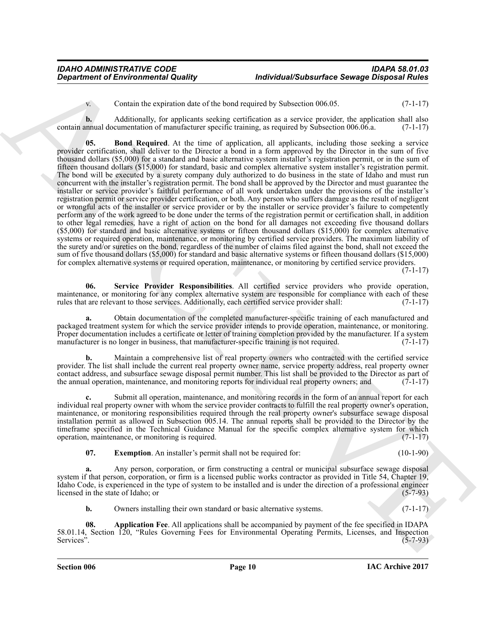<span id="page-9-1"></span>v. Contain the expiration date of the bond required by Subsection 006.05. (7-1-17)

**b.** Additionally, for applicants seeking certification as a service provider, the application shall also contain annual documentation of manufacturer specific training, as required by Subsection 006.06.a. (7-1-17)

*Department of Environmental Quality*<br>
Constant the equation of the department of the department of the constant of the equation of the state of the constant of the equation of the state of the constant of the equation **05.** Bond Required. At the time of application, all applicants, including those seeking a service provider certification, shall deliver to the Director a bond in a form approved by the Director in the sum of five thousand dollars (\$5,000) for a standard and basic alternative system installer's registration permit, or in the sum of fifteen thousand dollars (\$15,000) for standard, basic and complex alternative system installer's registration permit. The bond will be executed by a surety company duly authorized to do business in the state of Idaho and must run concurrent with the installer's registration permit. The bond shall be approved by the Director and must guarantee the installer or service provider's faithful performance of all work undertaken under the provisions of the installer's registration permit or service provider certification, or both. Any person who suffers damage as the result of negligent or wrongful acts of the installer or service provider or by the installer or service provider's failure to competently perform any of the work agreed to be done under the terms of the registration permit or certification shall, in addition to other legal remedies, have a right of action on the bond for all damages not exceeding five thousand dollars (\$5,000) for standard and basic alternative systems or fifteen thousand dollars (\$15,000) for complex alternative systems or required operation, maintenance, or monitoring by certified service providers. The maximum liability of the surety and/or sureties on the bond, regardless of the number of claims filed against the bond, shall not exceed the sum of five thousand dollars (\$5,000) for standard and basic alternative systems or fifteen thousand dollars (\$15,000) for complex alternative systems or required operation, maintenance, or monitoring by certified service providers.

 $(7-1-17)$ 

<span id="page-9-3"></span>**06. Service Provider Responsibilities**. All certified service providers who provide operation, maintenance, or monitoring for any complex alternative system are responsible for compliance with each of these rules that are relevant to those services. Additionally, each certified service provider shall: (7-1-17) rules that are relevant to those services. Additionally, each certified service provider shall:

**a.** Obtain documentation of the completed manufacturer-specific training of each manufactured and packaged treatment system for which the service provider intends to provide operation, maintenance, or monitoring. Proper documentation includes a certificate or letter of training completion provided by the manufacturer. If a system manufacturer is no longer in business, that manufacturer-specific training is not required. (7-1-17) manufacturer is no longer in business, that manufacturer-specific training is not required.

**b.** Maintain a comprehensive list of real property owners who contracted with the certified service provider. The list shall include the current real property owner name, service property address, real property owner contact address, and subsurface sewage disposal permit number. This list shall be provided to the Director as part of the annual operation, maintenance, and monitoring reports for individual real property owners; and  $(7-1-17)$ 

Submit all operation, maintenance, and monitoring records in the form of an annual report for each individual real property owner with whom the service provider contracts to fulfill the real property owner's operation, maintenance, or monitoring responsibilities required through the real property owner's subsurface sewage disposal installation permit as allowed in Subsection 005.14. The annual reports shall be provided to the Director by the timeframe specified in the Technical Guidance Manual for the specific complex alternative system for which operation, maintenance, or monitoring is required. (7-1-17) operation, maintenance, or monitoring is required.

<span id="page-9-2"></span>**07.** Exemption. An installer's permit shall not be required for: (10-1-90)

**a.** Any person, corporation, or firm constructing a central or municipal subsurface sewage disposal system if that person, corporation, or firm is a licensed public works contractor as provided in Title 54, Chapter 19, Idaho Code, is experienced in the type of system to be installed and is under the direction of a professional engineer<br>licensed in the state of Idaho; or (5-7-93) licensed in the state of Idaho; or

<span id="page-9-0"></span>**b.** Owners installing their own standard or basic alternative systems. (7-1-17)

**08. Application Fee**. All applications shall be accompanied by payment of the fee specified in IDAPA 58.01.14, Section 120, "Rules Governing Fees for Environmental Operating Permits, Licenses, and Inspection Services". (5-7-93)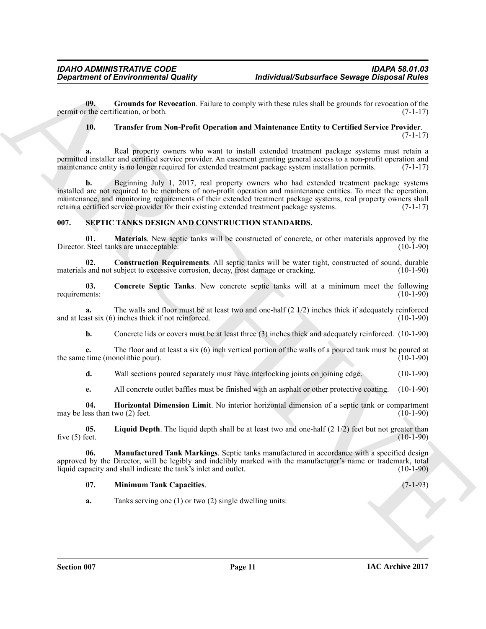**09.** Grounds for Revocation. Failure to comply with these rules shall be grounds for revocation of the retification, or both. (7-1-17) permit or the certification, or both.

#### <span id="page-10-2"></span><span id="page-10-1"></span>**10. Transfer from Non-Profit Operation and Maintenance Entity to Certified Service Provider**.

(7-1-17)

**a.** Real property owners who want to install extended treatment package systems must retain a permitted installer and certified service provider. An easement granting general access to a non-profit operation and maintenance entity is no longer required for extended treatment package system installation permits. (7-1-17)

**Exparament of Environmental Quality fractive series and state that the state of Several Resolution Constraints (Sec. 2) (Sec. 2) (Sec. 2) (Sec. 2) (Sec. 2) (Sec. 2) (Sec. 2) (Sec. 2) (Sec. 2) (Sec. 2) (Sec. 2) (Sec. 2) ( b.** Beginning July 1, 2017, real property owners who had extended treatment package systems installed are not required to be members of non-profit operation and maintenance entities. To meet the operation, maintenance, and monitoring requirements of their extended treatment package systems, real property owners shall retain a certified service provider for their existing extended treatment package systems. (7-1-17)

### <span id="page-10-3"></span><span id="page-10-0"></span>**007. SEPTIC TANKS DESIGN AND CONSTRUCTION STANDARDS.**

<span id="page-10-9"></span>**01. Materials**. New septic tanks will be constructed of concrete, or other materials approved by the Steel tanks are unacceptable. (10-1-90) Director. Steel tanks are unacceptable.

<span id="page-10-5"></span>**02. Construction Requirements**. All septic tanks will be water tight, constructed of sound, durable and not subject to excessive corrosion, decay, frost damage or cracking. (10-1-90) materials and not subject to excessive corrosion, decay, frost damage or cracking.

<span id="page-10-4"></span>**03.** Concrete Septic Tanks. New concrete septic tanks will at a minimum meet the following requirements: (10-1-90) requirements: (10-1-90)

**a.** The walls and floor must be at least two and one-half (2 1/2) inches thick if adequately reinforced ast six (6) inches thick if not reinforced. (10-1-90) and at least six  $(6)$  inches thick if not reinforced.

**b.** Concrete lids or covers must be at least three (3) inches thick and adequately reinforced. (10-1-90)

**c.** The floor and at least a six (6) inch vertical portion of the walls of a poured tank must be poured at time (monolithic pour). (10-1-90) the same time (monolithic pour).

**d.** Wall sections poured separately must have interlocking joints on joining edge. (10-1-90)

<span id="page-10-7"></span><span id="page-10-6"></span>**e.** All concrete outlet baffles must be finished with an asphalt or other protective coating. (10-1-90)

**04. Horizontal Dimension Limit**. No interior horizontal dimension of a septic tank or compartment may be less than two  $(2)$  feet.

**05.** Liquid Depth. The liquid depth shall be at least two and one-half (2 1/2) feet but not greater than five (5) feet. (10-1-90) five (5) feet.  $(10-1-90)$ 

**06. Manufactured Tank Markings**. Septic tanks manufactured in accordance with a specified design approved by the Director, will be legibly and indelibly marked with the manufacturer's name or trademark, total liquid capacity and shall indicate the tank's inlet and outlet. (10-1-90) liquid capacity and shall indicate the tank's inlet and outlet.

#### <span id="page-10-10"></span><span id="page-10-8"></span>**07. Minimum Tank Capacities**. (7-1-93)

**a.** Tanks serving one (1) or two (2) single dwelling units: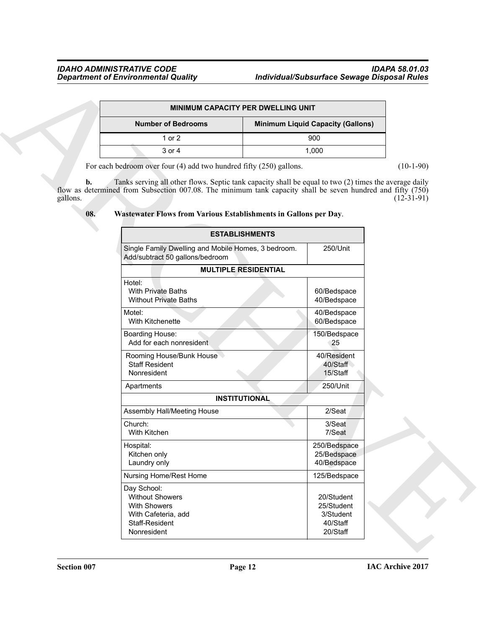|                           | <b>MINIMUM CAPACITY PER DWELLING UNIT</b> |
|---------------------------|-------------------------------------------|
| <b>Number of Bedrooms</b> | <b>Minimum Liquid Capacity (Gallons)</b>  |
| 1 or $2$                  | 900                                       |
| 3 or 4                    | 1.000                                     |

<span id="page-11-0"></span>

| 08. |  | Wastewater Flows from Various Establishments in Gallons per Day. |  |
|-----|--|------------------------------------------------------------------|--|

|                                   |                                                                                                                                                                                                                                                                                          | MINIMUM CAPACITY PER DWELLING UNIT |                                                   |              |
|-----------------------------------|------------------------------------------------------------------------------------------------------------------------------------------------------------------------------------------------------------------------------------------------------------------------------------------|------------------------------------|---------------------------------------------------|--------------|
|                                   | <b>Number of Bedrooms</b>                                                                                                                                                                                                                                                                |                                    | <b>Minimum Liquid Capacity (Gallons)</b>          |              |
|                                   | 1 or 2                                                                                                                                                                                                                                                                                   |                                    | 900                                               |              |
|                                   | 3 or 4                                                                                                                                                                                                                                                                                   |                                    | 1,000                                             |              |
|                                   | For each bedroom over four $(4)$ add two hundred fifty $(250)$ gallons.                                                                                                                                                                                                                  |                                    |                                                   | $(10-1-90)$  |
| $\mathbf{b}$ .<br>gallons.<br>08. | Tanks serving all other flows. Septic tank capacity shall be equal to two (2) times the average daily<br>flow as determined from Subsection 007.08. The minimum tank capacity shall be seven hundred and fifty (750)<br>Wastewater Flows from Various Establishments in Gallons per Day. |                                    |                                                   | $(12-31-91)$ |
|                                   |                                                                                                                                                                                                                                                                                          | <b>ESTABLISHMENTS</b>              |                                                   |              |
|                                   | Single Family Dwelling and Mobile Homes, 3 bedroom.<br>Add/subtract 50 gallons/bedroom                                                                                                                                                                                                   |                                    | 250/Unit                                          |              |
|                                   |                                                                                                                                                                                                                                                                                          | <b>MULTIPLE RESIDENTIAL</b>        |                                                   |              |
|                                   | Hotel:<br><b>With Private Baths</b><br><b>Without Private Baths</b>                                                                                                                                                                                                                      |                                    | 60/Bedspace<br>40/Bedspace                        |              |
|                                   | Motel:<br>With Kitchenette                                                                                                                                                                                                                                                               |                                    | 40/Bedspace<br>60/Bedspace                        |              |
|                                   | Boarding House:<br>Add for each nonresident                                                                                                                                                                                                                                              |                                    | 150/Bedspace<br>25                                |              |
|                                   | Rooming House/Bunk House<br><b>Staff Resident</b><br>Nonresident                                                                                                                                                                                                                         |                                    | 40/Resident<br>40/Staff<br>15/Staff               |              |
|                                   | Apartments                                                                                                                                                                                                                                                                               |                                    | 250/Unit                                          |              |
|                                   |                                                                                                                                                                                                                                                                                          | <b>INSTITUTIONAL</b>               |                                                   |              |
|                                   | Assembly Hall/Meeting House                                                                                                                                                                                                                                                              |                                    | 2/Seat                                            |              |
|                                   | Church:<br>With Kitchen                                                                                                                                                                                                                                                                  |                                    | 3/Seat<br>7/Seat                                  |              |
|                                   | Hospital:<br>Kitchen only<br>Laundry only                                                                                                                                                                                                                                                |                                    | 250/Bedspace<br>25/Bedspace<br>40/Bedspace        |              |
|                                   | Nursing Home/Rest Home                                                                                                                                                                                                                                                                   |                                    | 125/Bedspace                                      |              |
|                                   | Day School:<br><b>Without Showers</b><br>With Showers<br>With Cafeteria, add<br>Staff-Resident                                                                                                                                                                                           |                                    | 20/Student<br>25/Student<br>3/Student<br>40/Staff |              |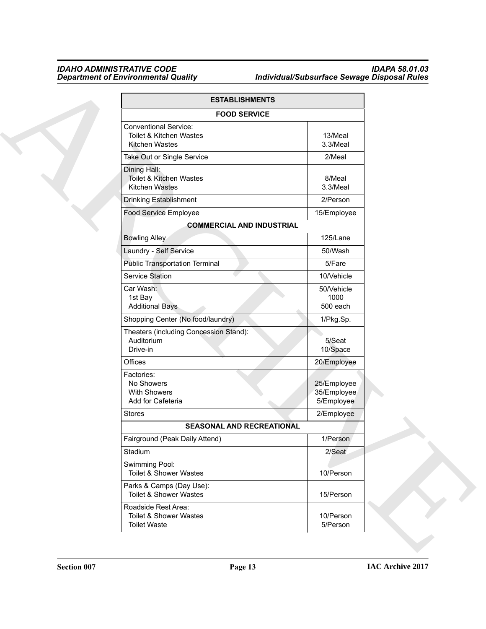|                      | <b>ESTABLISHMENTS</b>                                                     |                                          |  |
|----------------------|---------------------------------------------------------------------------|------------------------------------------|--|
|                      | <b>FOOD SERVICE</b>                                                       |                                          |  |
|                      | <b>Conventional Service:</b><br>Toilet & Kitchen Wastes<br>Kitchen Wastes | 13/Meal<br>3.3/Meal                      |  |
|                      | Take Out or Single Service                                                | 2/Meal                                   |  |
|                      | Dining Hall:<br>Toilet & Kitchen Wastes<br>Kitchen Wastes                 | 8/Meal<br>3.3/Meal                       |  |
|                      | Drinking Establishment                                                    | 2/Person                                 |  |
|                      | Food Service Employee                                                     | 15/Employee                              |  |
|                      | <b>COMMERCIAL AND INDUSTRIAL</b>                                          |                                          |  |
|                      | <b>Bowling Alley</b>                                                      | 125/Lane                                 |  |
|                      | Laundry - Self Service                                                    | 50/Wash                                  |  |
|                      | <b>Public Transportation Terminal</b>                                     | 5/Fare                                   |  |
|                      | <b>Service Station</b>                                                    | 10/Vehicle                               |  |
| Car Wash:<br>1st Bay | <b>Additional Bays</b>                                                    | 50/Vehicle<br>1000<br>500 each           |  |
|                      | Shopping Center (No food/laundry)                                         | 1/Pkg.Sp.                                |  |
| Drive-in             | Theaters (including Concession Stand):<br>Auditorium                      | 5/Seat<br>10/Space                       |  |
| Offices              |                                                                           | 20/Employee                              |  |
| Factories:           | No Showers<br>With Showers<br>Add for Cafeteria                           | 25/Employee<br>35/Employee<br>5/Employee |  |
| <b>Stores</b>        |                                                                           | 2/Employee                               |  |
|                      | <b>SEASONAL AND RECREATIONAL</b>                                          |                                          |  |
|                      | Fairground (Peak Daily Attend)                                            | 1/Person                                 |  |
| Stadium              |                                                                           | 2/Seat                                   |  |
|                      | Swimming Pool:<br>Toilet & Shower Wastes                                  | 10/Person                                |  |
|                      | Parks & Camps (Day Use):<br>Toilet & Shower Wastes                        | 15/Person                                |  |
|                      | Roadside Rest Area:<br>Toilet & Shower Wastes<br><b>Toilet Waste</b>      | 10/Person<br>5/Person                    |  |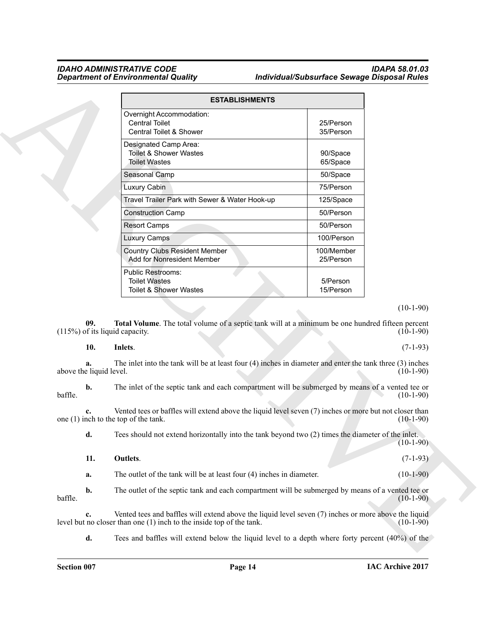|                                          | <b>ESTABLISHMENTS</b>                                                                                                                            |                         |                                                                                                                                                  |
|------------------------------------------|--------------------------------------------------------------------------------------------------------------------------------------------------|-------------------------|--------------------------------------------------------------------------------------------------------------------------------------------------|
|                                          | Overnight Accommodation:<br><b>Central Toilet</b><br>Central Toilet & Shower                                                                     | 25/Person<br>35/Person  |                                                                                                                                                  |
|                                          | Designated Camp Area:<br><b>Toilet &amp; Shower Wastes</b><br><b>Toilet Wastes</b>                                                               | 90/Space<br>65/Space    |                                                                                                                                                  |
|                                          | Seasonal Camp                                                                                                                                    | 50/Space                |                                                                                                                                                  |
|                                          | Luxury Cabin                                                                                                                                     | 75/Person               |                                                                                                                                                  |
|                                          | Travel Trailer Park with Sewer & Water Hook-up                                                                                                   | 125/Space               |                                                                                                                                                  |
|                                          | <b>Construction Camp</b>                                                                                                                         | 50/Person               |                                                                                                                                                  |
|                                          | <b>Resort Camps</b>                                                                                                                              | 50/Person               |                                                                                                                                                  |
|                                          | <b>Luxury Camps</b>                                                                                                                              | 100/Person              |                                                                                                                                                  |
|                                          | <b>Country Clubs Resident Member</b><br>Add for Nonresident Member                                                                               | 100/Member<br>25/Person |                                                                                                                                                  |
|                                          | Public Restrooms:<br><b>Toilet Wastes</b><br><b>Toilet &amp; Shower Wastes</b>                                                                   | 5/Person<br>15/Person   |                                                                                                                                                  |
|                                          |                                                                                                                                                  |                         |                                                                                                                                                  |
| 09.                                      | Total Volume. The total volume of a septic tank will at a minimum be one hundred fifteen percent                                                 |                         |                                                                                                                                                  |
| 10.                                      | $(115%)$ of its liquid capacity.<br>Inlets.                                                                                                      |                         |                                                                                                                                                  |
| a.                                       | The inlet into the tank will be at least four $(4)$ inches in diameter and enter the tank three $(3)$ inches                                     |                         |                                                                                                                                                  |
| b.                                       | The inlet of the septic tank and each compartment will be submerged by means of a vented tee or                                                  |                         |                                                                                                                                                  |
| c.                                       | Vented tees or baffles will extend above the liquid level seven (7) inches or more but not closer than<br>one $(1)$ inch to the top of the tank. |                         |                                                                                                                                                  |
| d.                                       | Tees should not extend horizontally into the tank beyond two (2) times the diameter of the inlet.                                                |                         |                                                                                                                                                  |
| 11.                                      | Outlets.                                                                                                                                         |                         |                                                                                                                                                  |
| above the liquid level.<br>baffle.<br>a. | The outlet of the tank will be at least four $(4)$ inches in diameter.                                                                           |                         |                                                                                                                                                  |
| b.<br>baffle.                            | The outlet of the septic tank and each compartment will be submerged by means of a vented tee or                                                 |                         | $(10-1-90)$<br>$(10-1-90)$<br>$(7-1-93)$<br>$(10-1-90)$<br>$(10-1-90)$<br>$(10-1-90)$<br>$(10-1-90)$<br>$(7-1-93)$<br>$(10-1-90)$<br>$(10-1-90)$ |

#### (10-1-90)

#### <span id="page-13-2"></span><span id="page-13-1"></span><span id="page-13-0"></span>**10. Inlets**. (7-1-93)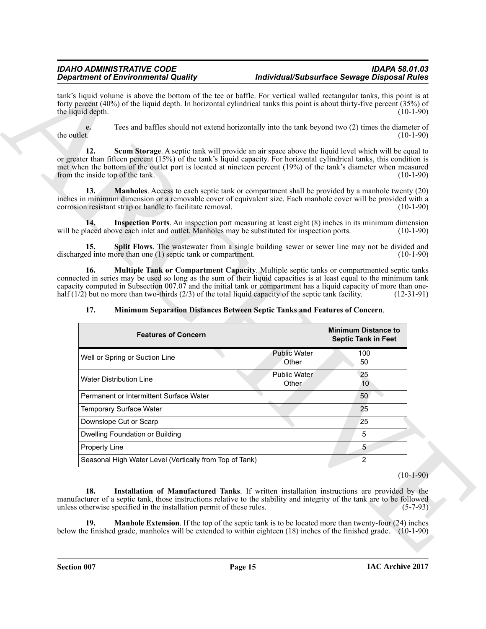### <span id="page-14-7"></span><span id="page-14-5"></span><span id="page-14-4"></span><span id="page-14-3"></span><span id="page-14-2"></span><span id="page-14-1"></span><span id="page-14-0"></span>**17. Minimum Separation Distances Between Septic Tanks and Features of Concern**.

<span id="page-14-6"></span>

|                                         | <b>Department of Environmental Quality</b>                                                                                                                                                                                                                                                                                                          |                              | Individual/Subsurface Sewage Disposal Rules |                           |
|-----------------------------------------|-----------------------------------------------------------------------------------------------------------------------------------------------------------------------------------------------------------------------------------------------------------------------------------------------------------------------------------------------------|------------------------------|---------------------------------------------|---------------------------|
| the liquid depth.                       | tank's liquid volume is above the bottom of the tee or baffle. For vertical walled rectangular tanks, this point is at<br>forty percent (40%) of the liquid depth. In horizontal cylindrical tanks this point is about thirty-five percent (35%) of                                                                                                 |                              |                                             | $(10-1-90)$               |
| e.<br>the outlet.                       | Tees and baffles should not extend horizontally into the tank beyond two (2) times the diameter of                                                                                                                                                                                                                                                  |                              |                                             | $(10-1-90)$               |
| 12.<br>from the inside top of the tank. | Scum Storage. A septic tank will provide an air space above the liquid level which will be equal to<br>or greater than fifteen percent (15%) of the tank's liquid capacity. For horizontal cylindrical tanks, this condition is<br>met when the bottom of the outlet port is located at nineteen percent (19%) of the tank's diameter when measured |                              |                                             | $(10-1-90)$               |
| 13.                                     | <b>Manholes</b> . Access to each septic tank or compartment shall be provided by a manhole twenty (20)<br>inches in minimum dimension or a removable cover of equivalent size. Each manhole cover will be provided with a<br>corrosion resistant strap or handle to facilitate removal.                                                             |                              |                                             | $(10-1-90)$               |
| 14.                                     | Inspection Ports. An inspection port measuring at least eight (8) inches in its minimum dimension<br>will be placed above each inlet and outlet. Manholes may be substituted for inspection ports.                                                                                                                                                  |                              |                                             | $(10-1-90)$               |
| 15.                                     | Split Flows. The wastewater from a single building sewer or sewer line may not be divided and<br>discharged into more than one (1) septic tank or compartment.                                                                                                                                                                                      |                              |                                             | $(10-1-90)$               |
|                                         | capacity computed in Subsection $007.07$ and the initial tank or compartment has a liquid capacity of more than one-<br>half $(1/2)$ but no more than two-thirds $(2/3)$ of the total liquid capacity of the septic tank facility.                                                                                                                  |                              |                                             | $(12-31-91)$              |
| 17.                                     | Minimum Separation Distances Between Septic Tanks and Features of Concern.                                                                                                                                                                                                                                                                          |                              | <b>Minimum Distance to</b>                  |                           |
|                                         | <b>Features of Concern</b>                                                                                                                                                                                                                                                                                                                          |                              | <b>Septic Tank in Feet</b>                  |                           |
|                                         | Well or Spring or Suction Line                                                                                                                                                                                                                                                                                                                      | <b>Public Water</b><br>Other | 100<br>50                                   |                           |
|                                         | <b>Water Distribution Line</b>                                                                                                                                                                                                                                                                                                                      | <b>Public Water</b><br>Other | 25<br>10                                    |                           |
|                                         | Permanent or Intermittent Surface Water                                                                                                                                                                                                                                                                                                             |                              | 50                                          |                           |
|                                         | Temporary Surface Water                                                                                                                                                                                                                                                                                                                             |                              | 25                                          |                           |
|                                         | Downslope Cut or Scarp                                                                                                                                                                                                                                                                                                                              |                              | 25                                          |                           |
|                                         | Dwelling Foundation or Building                                                                                                                                                                                                                                                                                                                     |                              | 5                                           |                           |
| Property Line                           |                                                                                                                                                                                                                                                                                                                                                     |                              | 5                                           |                           |
|                                         | Seasonal High Water Level (Vertically from Top of Tank)                                                                                                                                                                                                                                                                                             |                              | $\overline{2}$                              |                           |
| 18.                                     | Installation of Manufactured Tanks. If written installation instructions are provided by the<br>manufacturer of a septic tank, those instructions relative to the stability and integrity of the tank are to be followed<br>unless otherwise specified in the installation permit of these rules.                                                   |                              |                                             | $(10-1-90)$<br>$(5-7-93)$ |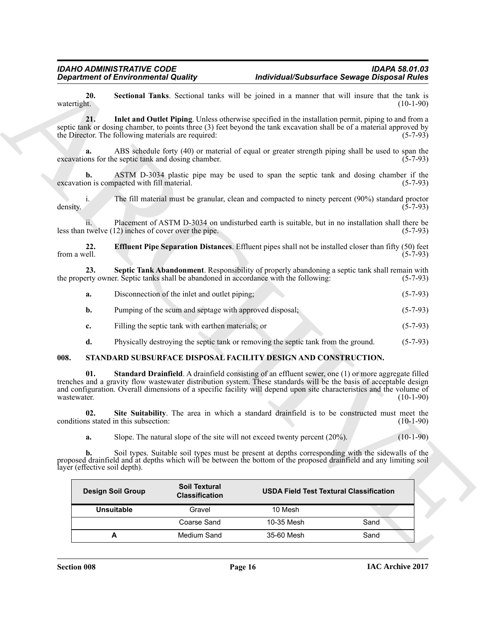<span id="page-15-4"></span><span id="page-15-1"></span>

| Disconnection of the inlet and outlet piping; |  | $(5-7-93)$ |
|-----------------------------------------------|--|------------|
|                                               |  |            |

- **b.** Pumping of the scum and septage with approved disposal; (5-7-93)
- **c.** Filling the septic tank with earthen materials; or (5-7-93)
- <span id="page-15-6"></span><span id="page-15-5"></span>**d.** Physically destroying the septic tank or removing the septic tank from the ground. (5-7-93)

#### <span id="page-15-0"></span>**008. STANDARD SUBSURFACE DISPOSAL FACILITY DESIGN AND CONSTRUCTION.**

<span id="page-15-3"></span><span id="page-15-2"></span>

|                               | <b>Department of Environmental Quality</b>              |                                               |                                                                                       | Individual/Subsurface Sewage Disposal Rules                                                                                                                                                                                                                                                                                                                             |
|-------------------------------|---------------------------------------------------------|-----------------------------------------------|---------------------------------------------------------------------------------------|-------------------------------------------------------------------------------------------------------------------------------------------------------------------------------------------------------------------------------------------------------------------------------------------------------------------------------------------------------------------------|
| 20.<br>watertight.            |                                                         |                                               |                                                                                       | Sectional Tanks. Sectional tanks will be joined in a manner that will insure that the tank is<br>$(10-1-90)$                                                                                                                                                                                                                                                            |
| 21.                           | the Director. The following materials are required:     |                                               |                                                                                       | Inlet and Outlet Piping. Unless otherwise specified in the installation permit, piping to and from a<br>septic tank or dosing chamber, to points three (3) feet beyond the tank excavation shall be of a material approved by<br>$(5-7-93)$                                                                                                                             |
| a.                            | excavations for the septic tank and dosing chamber.     |                                               |                                                                                       | ABS schedule forty (40) or material of equal or greater strength piping shall be used to span the<br>$(5-7-93)$                                                                                                                                                                                                                                                         |
| b.                            | excavation is compacted with fill material.             |                                               |                                                                                       | ASTM D-3034 plastic pipe may be used to span the septic tank and dosing chamber if the<br>$(5-7-93)$                                                                                                                                                                                                                                                                    |
| $i_{\cdot}$<br>density.       |                                                         |                                               |                                                                                       | The fill material must be granular, clean and compacted to ninety percent (90%) standard proctor<br>$(5-7-93)$                                                                                                                                                                                                                                                          |
|                               | less than twelve (12) inches of cover over the pipe.    |                                               |                                                                                       | Placement of ASTM D-3034 on undisturbed earth is suitable, but in no installation shall there be<br>$(5-7-93)$                                                                                                                                                                                                                                                          |
| 22.<br>from a well.           |                                                         |                                               |                                                                                       | <b>Effluent Pipe Separation Distances.</b> Effluent pipes shall not be installed closer than fifty (50) feet<br>$(5-7-93)$                                                                                                                                                                                                                                              |
| 23.                           |                                                         |                                               | the property owner. Septic tanks shall be abandoned in accordance with the following: | Septic Tank Abandonment. Responsibility of properly abandoning a septic tank shall remain with<br>$(5-7-93)$                                                                                                                                                                                                                                                            |
| a.                            | Disconnection of the inlet and outlet piping;           |                                               |                                                                                       | $(5-7-93)$                                                                                                                                                                                                                                                                                                                                                              |
| b.                            | Pumping of the scum and septage with approved disposal; |                                               |                                                                                       | $(5-7-93)$                                                                                                                                                                                                                                                                                                                                                              |
| c.                            | Filling the septic tank with earthen materials; or      |                                               |                                                                                       | $(5-7-93)$                                                                                                                                                                                                                                                                                                                                                              |
| d.                            |                                                         |                                               | Physically destroying the septic tank or removing the septic tank from the ground.    | $(5-7-93)$                                                                                                                                                                                                                                                                                                                                                              |
| 008.                          |                                                         |                                               | STANDARD SUBSURFACE DISPOSAL FACILITY DESIGN AND CONSTRUCTION.                        |                                                                                                                                                                                                                                                                                                                                                                         |
| 01.<br>wastewater.            |                                                         |                                               |                                                                                       | <b>Standard Drainfield.</b> A drainfield consisting of an effluent sewer, one (1) or more aggregate filled<br>trenches and a gravity flow wastewater distribution system. These standards will be the basis of acceptable design<br>and configuration. Overall dimensions of a specific facility will depend upon site characteristics and the volume of<br>$(10-1-90)$ |
| 02.                           | conditions stated in this subsection:                   |                                               |                                                                                       | Site Suitability. The area in which a standard drainfield is to be constructed must meet the<br>$(10-1-90)$                                                                                                                                                                                                                                                             |
| a.                            |                                                         |                                               | Slope. The natural slope of the site will not exceed twenty percent $(20\%)$ .        | $(10-1-90)$                                                                                                                                                                                                                                                                                                                                                             |
| layer (effective soil depth). |                                                         |                                               |                                                                                       | <b>b.</b> Soil types. Suitable soil types must be present at depths corresponding with the sidewalls of the proposed drainfield and at depths which will be between the bottom of the proposed drainfield and any limiting soil                                                                                                                                         |
|                               | <b>Design Soil Group</b>                                | <b>Soil Textural</b><br><b>Classification</b> | <b>USDA Field Test Textural Classification</b>                                        |                                                                                                                                                                                                                                                                                                                                                                         |
|                               | <b>Unsuitable</b>                                       | Gravel                                        | 10 Mesh                                                                               |                                                                                                                                                                                                                                                                                                                                                                         |
|                               |                                                         | Coarse Sand                                   | 10-35 Mesh                                                                            | Sand                                                                                                                                                                                                                                                                                                                                                                    |
|                               | A                                                       | Medium Sand                                   | 35-60 Mesh                                                                            | Sand                                                                                                                                                                                                                                                                                                                                                                    |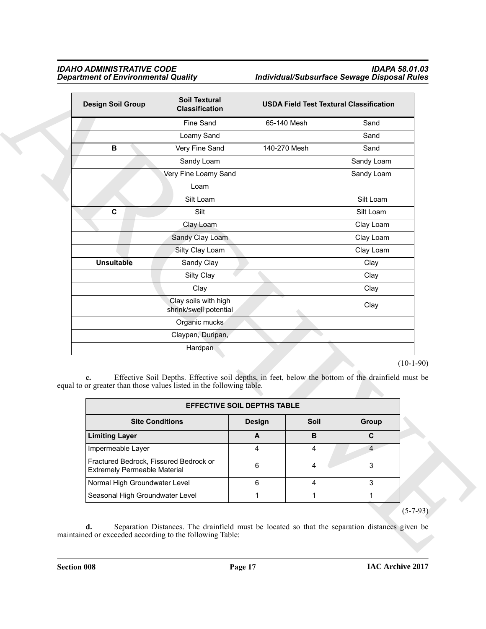| <b>Design Soil Group</b>                                                                                    | <b>Soil Textural</b><br><b>Classification</b>                                                     |                                    |              | <b>USDA Field Test Textural Classification</b> |             |
|-------------------------------------------------------------------------------------------------------------|---------------------------------------------------------------------------------------------------|------------------------------------|--------------|------------------------------------------------|-------------|
|                                                                                                             | Fine Sand                                                                                         | 65-140 Mesh                        |              | Sand                                           |             |
|                                                                                                             | Loamy Sand                                                                                        |                                    |              | Sand                                           |             |
| В                                                                                                           | Very Fine Sand                                                                                    | 140-270 Mesh                       |              | Sand                                           |             |
|                                                                                                             | Sandy Loam                                                                                        |                                    |              | Sandy Loam                                     |             |
|                                                                                                             | Very Fine Loamy Sand                                                                              |                                    |              | Sandy Loam                                     |             |
|                                                                                                             | Loam                                                                                              |                                    |              |                                                |             |
|                                                                                                             | Silt Loam                                                                                         |                                    |              | Silt Loam                                      |             |
| C                                                                                                           | Silt                                                                                              |                                    |              | Silt Loam                                      |             |
|                                                                                                             | Clay Loam                                                                                         |                                    |              | Clay Loam                                      |             |
|                                                                                                             | Sandy Clay Loam                                                                                   |                                    |              | Clay Loam                                      |             |
|                                                                                                             | Silty Clay Loam                                                                                   |                                    |              | Clay Loam                                      |             |
| <b>Unsuitable</b>                                                                                           | Sandy Clay                                                                                        |                                    |              | Clay                                           |             |
|                                                                                                             | Silty Clay                                                                                        |                                    |              | Clay                                           |             |
|                                                                                                             | Clay                                                                                              |                                    |              | Clay                                           |             |
|                                                                                                             | Clay soils with high<br>shrink/swell potential                                                    |                                    |              | Clay                                           |             |
|                                                                                                             | Organic mucks                                                                                     |                                    |              |                                                |             |
|                                                                                                             | Claypan, Duripan,                                                                                 |                                    |              |                                                |             |
|                                                                                                             | Hardpan                                                                                           |                                    |              |                                                |             |
| $c_{\bullet}$                                                                                               | Effective Soil Depths. Effective soil depths, in feet, below the bottom of the drainfield must be |                                    |              |                                                | $(10-1-90)$ |
|                                                                                                             |                                                                                                   | <b>EFFECTIVE SOIL DEPTHS TABLE</b> |              |                                                |             |
|                                                                                                             | <b>Site Conditions</b>                                                                            | <b>Design</b>                      | Soil         | Group                                          |             |
| <b>Limiting Layer</b>                                                                                       |                                                                                                   | $\boldsymbol{\mathsf{A}}$          | В            | $\mathbf C$                                    |             |
| Impermeable Layer                                                                                           |                                                                                                   | 4                                  | 4            | $\overline{4}$                                 |             |
| equal to or greater than those values listed in the following table.<br><b>Extremely Permeable Material</b> | Fractured Bedrock, Fissured Bedrock or                                                            | 6                                  | 4            | $\mathbf{3}$                                   |             |
| Normal High Groundwater Level                                                                               |                                                                                                   | 6                                  | 4            | $\mathbf{3}$                                   |             |
| Seasonal High Groundwater Level                                                                             |                                                                                                   | 1                                  | $\mathbf{1}$ | $\mathbf{1}$                                   |             |

|                                                                               | <b>EFFECTIVE SOIL DEPTHS TABLE</b> |             |       |
|-------------------------------------------------------------------------------|------------------------------------|-------------|-------|
| <b>Site Conditions</b>                                                        | <b>Design</b>                      | <b>Soil</b> | Group |
| <b>Limiting Layer</b>                                                         | A                                  | в           | C     |
| Impermeable Layer                                                             |                                    |             |       |
| Fractured Bedrock, Fissured Bedrock or<br><b>Extremely Permeable Material</b> | 6                                  |             | 3     |
| Normal High Groundwater Level                                                 | 6                                  |             | 3     |
| Seasonal High Groundwater Level                                               |                                    |             |       |
|                                                                               |                                    |             |       |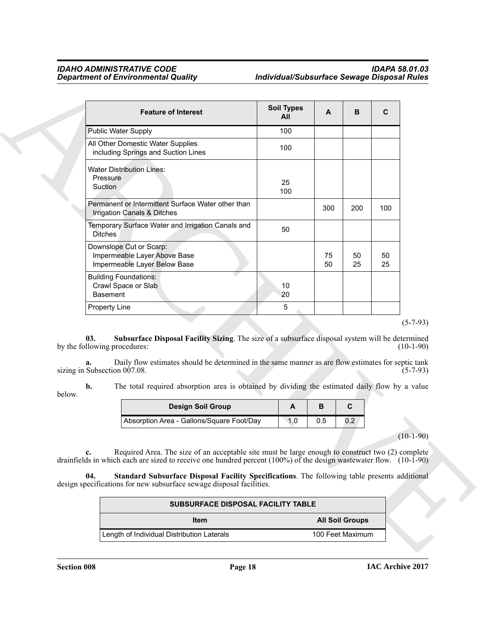| <b>Feature of Interest</b>                                                                                                                                                                                                                                                                                                                                                                                    | <b>Soil Types</b><br>All | A        | B                      | C        |                                             |
|---------------------------------------------------------------------------------------------------------------------------------------------------------------------------------------------------------------------------------------------------------------------------------------------------------------------------------------------------------------------------------------------------------------|--------------------------|----------|------------------------|----------|---------------------------------------------|
| Public Water Supply                                                                                                                                                                                                                                                                                                                                                                                           | 100                      |          |                        |          |                                             |
| All Other Domestic Water Supplies<br>including Springs and Suction Lines                                                                                                                                                                                                                                                                                                                                      | 100                      |          |                        |          |                                             |
| <b>Water Distribution Lines:</b><br>Pressure<br>Suction                                                                                                                                                                                                                                                                                                                                                       | 25<br>100                |          |                        |          |                                             |
| Permanent or Intermittent Surface Water other than<br>Irrigation Canals & Ditches                                                                                                                                                                                                                                                                                                                             |                          | 300      | 200                    | 100      |                                             |
| Temporary Surface Water and Irrigation Canals and<br><b>Ditches</b>                                                                                                                                                                                                                                                                                                                                           | 50                       |          |                        |          |                                             |
| Downslope Cut or Scarp:<br>Impermeable Layer Above Base<br>Impermeable Layer Below Base                                                                                                                                                                                                                                                                                                                       |                          | 75<br>50 | 50<br>25               | 50<br>25 |                                             |
| <b>Building Foundations:</b><br>Crawl Space or Slab<br><b>Basement</b>                                                                                                                                                                                                                                                                                                                                        | 10<br>20                 |          |                        |          |                                             |
| Property Line                                                                                                                                                                                                                                                                                                                                                                                                 | 5                        |          |                        |          |                                             |
|                                                                                                                                                                                                                                                                                                                                                                                                               |                          |          |                        |          |                                             |
| Subsurface Disposal Facility Sizing. The size of a subsurface disposal system will be determined<br>03.<br>by the following procedures:<br>Daily flow estimates should be determined in the same manner as are flow estimates for septic tank<br>a.<br>sizing in Subsection 007.08.<br>The total required absorption area is obtained by dividing the estimated daily flow by a value<br>b.                   |                          |          |                        |          |                                             |
| below.                                                                                                                                                                                                                                                                                                                                                                                                        |                          |          |                        |          |                                             |
| <b>Design Soil Group</b>                                                                                                                                                                                                                                                                                                                                                                                      | A                        | B        | C                      |          |                                             |
| Absorption Area - Gallons/Square Foot/Day                                                                                                                                                                                                                                                                                                                                                                     | 1.0                      | 0.5      | 0.2                    |          | $(5-7-93)$<br>$(10-1-90)$<br>$(5 - 7 - 93)$ |
| Required Area. The size of an acceptable site must be large enough to construct two (2) complete<br>c.<br>drainfields in which each are sized to receive one hundred percent (100%) of the design was tewater flow. (10-1-90)<br>Standard Subsurface Disposal Facility Specifications. The following table presents additional<br>04.<br>design specifications for new subsurface sewage disposal facilities. |                          |          |                        |          | $(10-1-90)$                                 |
|                                                                                                                                                                                                                                                                                                                                                                                                               |                          |          |                        |          |                                             |
| SUBSURFACE DISPOSAL FACILITY TABLE<br>Item                                                                                                                                                                                                                                                                                                                                                                    |                          |          | <b>All Soil Groups</b> |          |                                             |

<span id="page-17-1"></span>

| Design Soil Group                         |  |  |
|-------------------------------------------|--|--|
| Absorption Area - Gallons/Square Foot/Day |  |  |

<span id="page-17-0"></span>

| <b>SUBSURFACE DISPOSAL FACILITY TABLE</b>  |                        |
|--------------------------------------------|------------------------|
| <b>Item</b>                                | <b>All Soil Groups</b> |
| Length of Individual Distribution Laterals | 100 Feet Maximum       |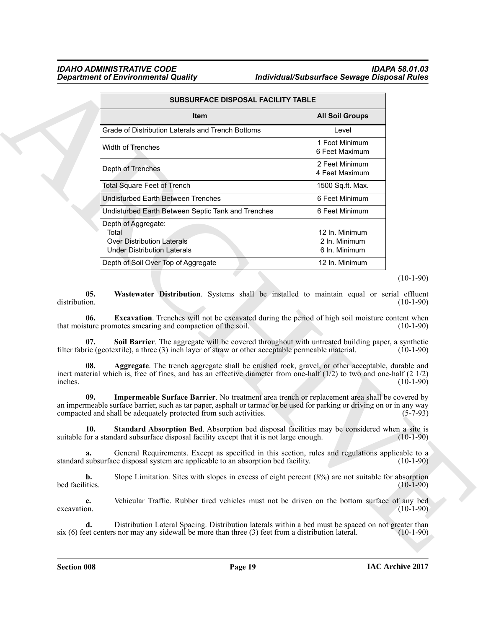<span id="page-18-5"></span><span id="page-18-3"></span><span id="page-18-1"></span>

|                                  | SUBSURFACE DISPOSAL FACILITY TABLE                                                                                                                                                                                                                                                            |                                                  |                                                                                                                                       |
|----------------------------------|-----------------------------------------------------------------------------------------------------------------------------------------------------------------------------------------------------------------------------------------------------------------------------------------------|--------------------------------------------------|---------------------------------------------------------------------------------------------------------------------------------------|
|                                  | <b>Item</b>                                                                                                                                                                                                                                                                                   | <b>All Soil Groups</b>                           |                                                                                                                                       |
|                                  | Grade of Distribution Laterals and Trench Bottoms                                                                                                                                                                                                                                             | Level                                            |                                                                                                                                       |
|                                  | Width of Trenches                                                                                                                                                                                                                                                                             | 1 Foot Minimum<br>6 Feet Maximum                 |                                                                                                                                       |
|                                  | Depth of Trenches                                                                                                                                                                                                                                                                             | 2 Feet Minimum<br>4 Feet Maximum                 |                                                                                                                                       |
|                                  | <b>Total Square Feet of Trench</b>                                                                                                                                                                                                                                                            | 1500 Sq.ft. Max.                                 |                                                                                                                                       |
|                                  | <b>Undisturbed Earth Between Trenches</b>                                                                                                                                                                                                                                                     | 6 Feet Minimum                                   |                                                                                                                                       |
|                                  | Undisturbed Earth Between Septic Tank and Trenches                                                                                                                                                                                                                                            | 6 Feet Minimum                                   |                                                                                                                                       |
|                                  | Depth of Aggregate:<br>Total<br><b>Over Distribution Laterals</b><br><b>Under Distribution Laterals</b>                                                                                                                                                                                       | 12 In. Minimum<br>2 In. Minimum<br>6 In. Minimum |                                                                                                                                       |
|                                  | Depth of Soil Over Top of Aggregate                                                                                                                                                                                                                                                           | 12 In. Minimum                                   |                                                                                                                                       |
|                                  |                                                                                                                                                                                                                                                                                               |                                                  | $(10-1-90)$                                                                                                                           |
|                                  |                                                                                                                                                                                                                                                                                               |                                                  |                                                                                                                                       |
| distribution.<br>06.             | <b>Excavation</b> . Trenches will not be excavated during the period of high soil moisture content when<br>that moisture promotes smearing and compaction of the soil.                                                                                                                        |                                                  |                                                                                                                                       |
| 07.                              | Soil Barrier. The aggregate will be covered throughout with untreated building paper, a synthetic<br>filter fabric (geotextile), a three (3) inch layer of straw or other acceptable permeable material.                                                                                      |                                                  | Wastewater Distribution. Systems shall be installed to maintain equal or serial effluent<br>$(10-1-90)$<br>$(10-1-90)$<br>$(10-1-90)$ |
| 08.                              | Aggregate. The trench aggregate shall be crushed rock, gravel, or other acceptable, durable and<br>inert material which is, free of fines, and has an effective diameter from one-half (1/2) to two and one-half (2 1/2)                                                                      |                                                  |                                                                                                                                       |
| 09.                              | Impermeable Surface Barrier. No treatment area trench or replacement area shall be covered by<br>an impermeable surface barrier, such as tar paper, asphalt or tarmac or be used for parking or driving on or in any way<br>compacted and shall be adequately protected from such activities. |                                                  |                                                                                                                                       |
|                                  | 10. Standard Absorption Bed. Absorption bed disposal facilities may be considered when a site is<br>suitable for a standard subsurface disposal facility except that it is not large enough.                                                                                                  |                                                  |                                                                                                                                       |
| a.                               | General Requirements. Except as specified in this section, rules and regulations applicable to a<br>standard subsurface disposal system are applicable to an absorption bed facility.                                                                                                         |                                                  |                                                                                                                                       |
| inches.<br>b.<br>bed facilities. | Slope Limitation. Sites with slopes in excess of eight percent $(8\%)$ are not suitable for absorption                                                                                                                                                                                        |                                                  | $(10-1-90)$<br>$(5 - 7 - 93)$<br>$(10-1-90)$<br>$(10-1-90)$<br>$(10-1-90)$                                                            |
| $c_{\cdot}$<br>excavation.       | Vehicular Traffic. Rubber tired vehicles must not be driven on the bottom surface of any bed                                                                                                                                                                                                  |                                                  | $(10-1-90)$                                                                                                                           |

#### <span id="page-18-4"></span><span id="page-18-2"></span><span id="page-18-0"></span>(10-1-90)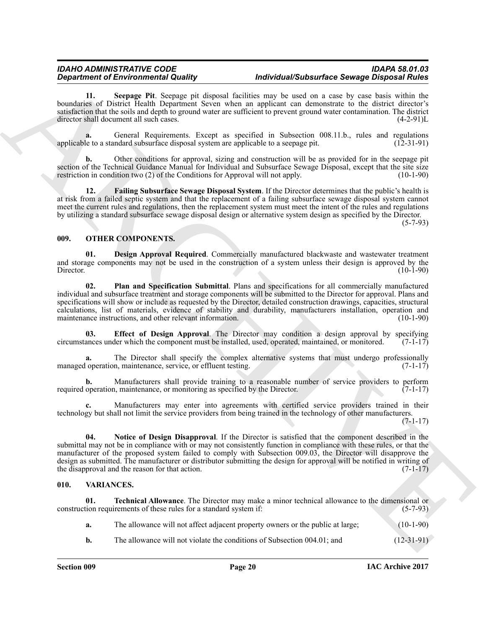<span id="page-19-8"></span>**11. Seepage Pit**. Seepage pit disposal facilities may be used on a case by case basis within the boundaries of District Health Department Seven when an applicant can demonstrate to the district director's satisfaction that the soils and depth to ground water are sufficient to prevent ground water contamination. The district director shall document all such cases. (4-2-91)L

**a.** General Requirements. Except as specified in Subsection 008.11.b., rules and regulations le to a standard subsurface disposal system are applicable to a seepage pit. (12-31-91) applicable to a standard subsurface disposal system are applicable to a seepage pit.

**b.** Other conditions for approval, sizing and construction will be as provided for in the seepage pit section of the Technical Guidance Manual for Individual and Subsurface Sewage Disposal, except that the site size restriction in condition two (2) of the Conditions for Approval will not apply. (10-1-90) restriction in condition two  $(2)$  of the Conditions for Approval will not apply.

<span id="page-19-7"></span>**12. Failing Subsurface Sewage Disposal System**. If the Director determines that the public's health is at risk from a failed septic system and that the replacement of a failing subsurface sewage disposal system cannot meet the current rules and regulations, then the replacement system must meet the intent of the rules and regulations by utilizing a standard subsurface sewage disposal design or alternative system design as specified by the Director. (5-7-93)

#### <span id="page-19-2"></span><span id="page-19-0"></span>**009. OTHER COMPONENTS.**

<span id="page-19-6"></span><span id="page-19-3"></span>**01. Design Approval Required**. Commercially manufactured blackwaste and wastewater treatment and storage components may not be used in the construction of a system unless their design is approved by the Director. (10-1-90) Director. (10-1-90)

*Department of Environmental Dashing***, and stress in the visual stress of the posterior of the posterior of the control of the control of the control of the control of the control of the control of the control of the con 02. Plan and Specification Submittal**. Plans and specifications for all commercially manufactured individual and subsurface treatment and storage components will be submitted to the Director for approval. Plans and specifications will show or include as requested by the Director, detailed construction drawings, capacities, structural calculations, list of materials, evidence of stability and durability, manufacturers installation, operation and maintenance instructions, and other relevant information. (10-1-90)

<span id="page-19-4"></span>**03. Effect of Design Approval**. The Director may condition a design approval by specifying ances under which the component must be installed, used, operated, maintained, or monitored. (7-1-17) circumstances under which the component must be installed, used, operated, maintained, or monitored.

**a.** The Director shall specify the complex alternative systems that must undergo professionally operation, maintenance, service, or effluent testing. (7-1-17) managed operation, maintenance, service, or effluent testing.

**b.** Manufacturers shall provide training to a reasonable number of service providers to perform operation, maintenance, or monitoring as specified by the Director. (7-1-17) required operation, maintenance, or monitoring as specified by the Director.

**c.** Manufacturers may enter into agreements with certified service providers trained in their technology but shall not limit the service providers from being trained in the technology of other manufacturers.

(7-1-17)

<span id="page-19-5"></span>**04. Notice of Design Disapproval**. If the Director is satisfied that the component described in the submittal may not be in compliance with or may not consistently function in compliance with these rules, or that the manufacturer of the proposed system failed to comply with Subsection 009.03, the Director will disapprove the design as submitted. The manufacturer or distributor submitting the design for approval will be notified in writing of the disapproval and the reason for that action.  $(7-1-17)$ 

#### <span id="page-19-9"></span><span id="page-19-1"></span>**010. VARIANCES.**

**01. Technical Allowance**. The Director may make a minor technical allowance to the dimensional or tion requirements of these rules for a standard system if: (5-7-93) construction requirements of these rules for a standard system if:

- <span id="page-19-10"></span>**a.** The allowance will not affect adjacent property owners or the public at large; (10-1-90)
- **b.** The allowance will not violate the conditions of Subsection 004.01; and (12-31-91)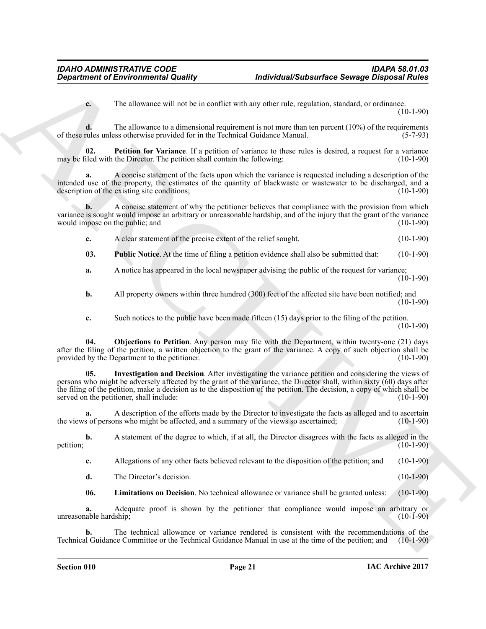<span id="page-20-3"></span>**c.** The allowance will not be in conflict with any other rule, regulation, standard, or ordinance.  $(10-1-90)$ 

**d.** The allowance to a dimensional requirement is not more than ten percent (10%) of the requirements rules unless otherwise provided for in the Technical Guidance Manual. (5-7-93) of these rules unless otherwise provided for in the Technical Guidance Manual.

**02.** Petition for Variance. If a petition of variance to these rules is desired, a request for a variance iled with the Director. The petition shall contain the following: (10-1-90) may be filed with the Director. The petition shall contain the following:

**a.** A concise statement of the facts upon which the variance is requested including a description of the intended use of the property, the estimates of the quantity of blackwaste or wastewater to be discharged, and a description of the existing site conditions;

**b.** A concise statement of why the petitioner believes that compliance with the provision from which variance is sought would impose an arbitrary or unreasonable hardship, and of the injury that the grant of the variance<br>would impose on the public; and (10-1-90) would impose on the public; and

<span id="page-20-4"></span>**c.** A clear statement of the precise extent of the relief sought. (10-1-90)

**03. Public Notice**. At the time of filing a petition evidence shall also be submitted that: (10-1-90)

**a.** A notice has appeared in the local newspaper advising the public of the request for variance; (10-1-90)

**b.** All property owners within three hundred (300) feet of the affected site have been notified; and (10-1-90)

<span id="page-20-2"></span><span id="page-20-0"></span>**c.** Such notices to the public have been made fifteen (15) days prior to the filing of the petition.  $(10-1-90)$ 

**04. Objections to Petition**. Any person may file with the Department, within twenty-one (21) days after the filing of the petition, a written objection to the grant of the variance. A copy of such objection shall be provided by the Department to the petitioner. (10-1-90)

**Exparament of Environmental Quality Individual Substant descriptions of European Substant desires and the Unit<br>
The substant is a statemental of the substant of the substant of the substant of the substant of the substan 05. Investigation and Decision**. After investigating the variance petition and considering the views of persons who might be adversely affected by the grant of the variance, the Director shall, within sixty (60) days after the filing of the petition, make a decision as to the disposition of the petition. The decision, a copy of which shall be served on the petitioner, shall include: (10-1-90)

**a.** A description of the efforts made by the Director to investigate the facts as alleged and to ascertain s of persons who might be affected, and a summary of the views so ascertained; (10-1-90) the views of persons who might be affected, and a summary of the views so ascertained;

**b.** A statement of the degree to which, if at all, the Director disagrees with the facts as alleged in the (10-1-90) petition;  $(10-1-90)$ 

**c.** Allegations of any other facts believed relevant to the disposition of the petition; and (10-1-90)

**d.** The Director's decision. (10-1-90)

<span id="page-20-1"></span>**06. Limitations on Decision**. No technical allowance or variance shall be granted unless: (10-1-90)

**a.** Adequate proof is shown by the petitioner that compliance would impose an arbitrary or able hardship; (10-1-90) unreasonable hardship;

**b.** The technical allowance or variance rendered is consistent with the recommendations of the I Guidance Committee or the Technical Guidance Manual in use at the time of the petition; and (10-1-90) Technical Guidance Committee or the Technical Guidance Manual in use at the time of the petition; and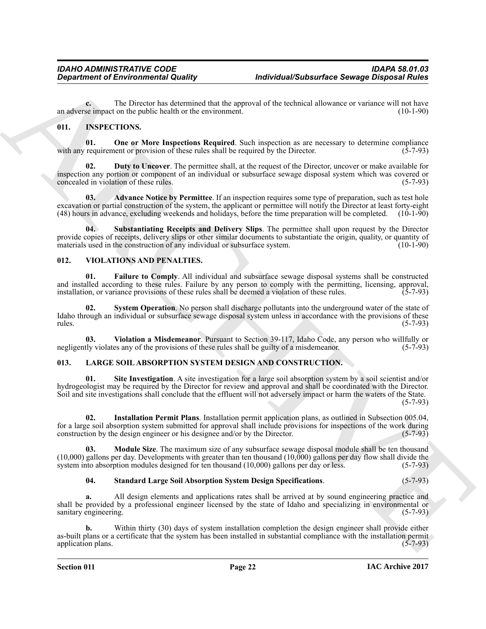**c.** The Director has determined that the approval of the technical allowance or variance will not have se impact on the public health or the environment. (10-1-90) an adverse impact on the public health or the environment.

### <span id="page-21-6"></span><span id="page-21-3"></span><span id="page-21-0"></span>**011. INSPECTIONS.**

**01.** One or More Inspections Required. Such inspection as are necessary to determine compliance requirement or provision of these rules shall be required by the Director. (5-7-93) with any requirement or provision of these rules shall be required by the Director.

<span id="page-21-5"></span>**02. Duty to Uncover**. The permittee shall, at the request of the Director, uncover or make available for inspection any portion or component of an individual or subsurface sewage disposal system which was covered or concealed in violation of these rules.

<span id="page-21-4"></span>**03. Advance Notice by Permittee**. If an inspection requires some type of preparation, such as test hole excavation or partial construction of the system, the applicant or permittee will notify the Director at least forty-eight (48) hours in advance, excluding weekends and holidays, before the time preparation will be complet (48) hours in advance, excluding weekends and holidays, before the time preparation will be completed. (10-1-90)

<span id="page-21-7"></span>**04. Substantiating Receipts and Delivery Slips**. The permittee shall upon request by the Director provide copies of receipts, delivery slips or other similar documents to substantiate the origin, quality, or quantity of materials used in the construction of any individual or subsurface system. (10-1-90) materials used in the construction of any individual or subsurface system.

#### <span id="page-21-13"></span><span id="page-21-1"></span>**012. VIOLATIONS AND PENALTIES.**

<span id="page-21-14"></span>**01. Failure to Comply**. All individual and subsurface sewage disposal systems shall be constructed and installed according to these rules. Failure by any person to comply with the permitting, licensing, approval, installation, or variance provisions of these rules shall be deemed a violation of these rules. (5-7-93) installation, or variance provisions of these rules shall be deemed a violation of these rules.

<span id="page-21-15"></span>**02. System Operation**. No person shall discharge pollutants into the underground water of the state of Idaho through an individual or subsurface sewage disposal system unless in accordance with the provisions of these rules. (5-7-93)  $r = (5-7-93)$ 

<span id="page-21-16"></span>**03. Violation a Misdemeanor**. Pursuant to Section 39-117, Idaho Code, any person who willfully or the provisions of these rules shall be guilty of a misdemeanor. (5-7-93) negligently violates any of the provisions of these rules shall be guilty of a misdemeanor.

### <span id="page-21-11"></span><span id="page-21-8"></span><span id="page-21-2"></span>**013. LARGE SOIL ABSORPTION SYSTEM DESIGN AND CONSTRUCTION.**

**Expansion of Environmental Quality (and the system of the best state of the control of the December of the Control of the Control of the Control of the Control of the Control of the Control of the Control of the Control 01. Site Investigation**. A site investigation for a large soil absorption system by a soil scientist and/or hydrogeologist may be required by the Director for review and approval and shall be coordinated with the Director. Soil and site investigations shall conclude that the effluent will not adversely impact or harm the waters of the State. (5-7-93)

<span id="page-21-9"></span>**02. Installation Permit Plans**. Installation permit application plans, as outlined in Subsection 005.04, for a large soil absorption system submitted for approval shall include provisions for inspections of the work during construction by the design engineer or his designee and/or by the Director. (5-7-93) construction by the design engineer or his designee and/or by the Director.

**03. Module Size**. The maximum size of any subsurface sewage disposal module shall be ten thousand (10,000) gallons per day. Developments with greater than ten thousand (10,000) gallons per day flow shall divide the system into absorption modules designed for ten thousand (10,000) gallons per day or less. (5-7-93) system into absorption modules designed for ten thousand  $(10,000)$  gallons per day or less.

#### <span id="page-21-12"></span><span id="page-21-10"></span>**04. Standard Large Soil Absorption System Design Specifications**. (5-7-93)

**a.** All design elements and applications rates shall be arrived at by sound engineering practice and shall be provided by a professional engineer licensed by the state of Idaho and specializing in environmental or sanitary engineering. sanitary engineering.

**b.** Within thirty (30) days of system installation completion the design engineer shall provide either as-built plans or a certificate that the system has been installed in substantial compliance with the installation permit application plans. application plans.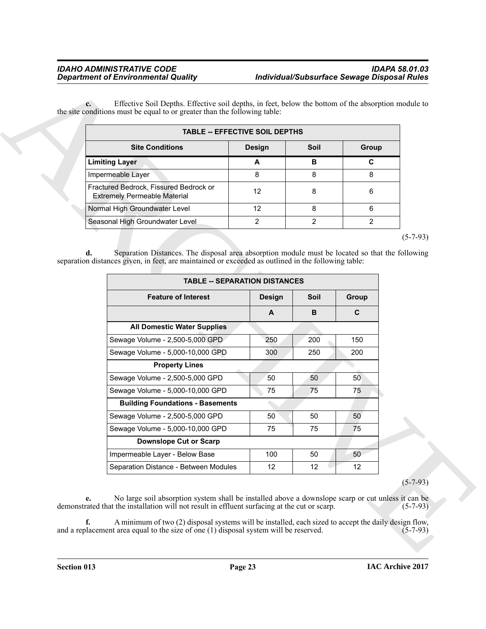|                                                                               | <b>TABLE -- EFFECTIVE SOIL DEPTHS</b> |      |       |
|-------------------------------------------------------------------------------|---------------------------------------|------|-------|
| <b>Site Conditions</b>                                                        | <b>Design</b>                         | Soil | Group |
| <b>Limiting Layer</b>                                                         | A                                     | в    | C     |
| Impermeable Layer                                                             | 8                                     | 8    | я     |
| Fractured Bedrock, Fissured Bedrock or<br><b>Extremely Permeable Material</b> | 12                                    | 8    | 6     |
| Normal High Groundwater Level                                                 | 12                                    | 8    | ี่ค   |
| Seasonal High Groundwater Level                                               | っ                                     | າ    |       |

| <b>Design</b><br>A<br>8<br>12<br>12<br>$\overline{2}$<br>Separation Distances. The disposal area absorption module must be located so that the following | <b>Site Conditions</b><br><b>Limiting Layer</b><br>Impermeable Layer<br>Fractured Bedrock, Fissured Bedrock or<br><b>Extremely Permeable Material</b><br>Normal High Groundwater Level<br>Seasonal High Groundwater Level |
|----------------------------------------------------------------------------------------------------------------------------------------------------------|---------------------------------------------------------------------------------------------------------------------------------------------------------------------------------------------------------------------------|
|                                                                                                                                                          |                                                                                                                                                                                                                           |
|                                                                                                                                                          |                                                                                                                                                                                                                           |
|                                                                                                                                                          |                                                                                                                                                                                                                           |
|                                                                                                                                                          |                                                                                                                                                                                                                           |
|                                                                                                                                                          |                                                                                                                                                                                                                           |
|                                                                                                                                                          |                                                                                                                                                                                                                           |
| <b>Design</b>                                                                                                                                            | <b>Feature of Interest</b>                                                                                                                                                                                                |
|                                                                                                                                                          |                                                                                                                                                                                                                           |
|                                                                                                                                                          |                                                                                                                                                                                                                           |
|                                                                                                                                                          |                                                                                                                                                                                                                           |
|                                                                                                                                                          |                                                                                                                                                                                                                           |
| 250                                                                                                                                                      | Sewage Volume - 2,500-5,000 GPD                                                                                                                                                                                           |
| 300                                                                                                                                                      | Sewage Volume - 5,000-10,000 GPD                                                                                                                                                                                          |
|                                                                                                                                                          | <b>Property Lines</b>                                                                                                                                                                                                     |
|                                                                                                                                                          |                                                                                                                                                                                                                           |
| 50                                                                                                                                                       | Sewage Volume - 2,500-5,000 GPD                                                                                                                                                                                           |
| 75                                                                                                                                                       | Sewage Volume - 5,000-10,000 GPD                                                                                                                                                                                          |
|                                                                                                                                                          | <b>Building Foundations - Basements</b>                                                                                                                                                                                   |
| 50                                                                                                                                                       | Sewage Volume - 2,500-5,000 GPD                                                                                                                                                                                           |
| 75                                                                                                                                                       | Sewage Volume - 5,000-10,000 GPD                                                                                                                                                                                          |
|                                                                                                                                                          | <b>Downslope Cut or Scarp</b>                                                                                                                                                                                             |
| 100<br>12                                                                                                                                                | Impermeable Layer - Below Base<br>Separation Distance - Between Modules                                                                                                                                                   |
| <b>TABLE -- SEPARATION DISTANCES</b><br>A                                                                                                                | d.<br>separation distances given, in feet, are maintained or exceeded as outlined in the following table:<br><b>All Domestic Water Supplies</b>                                                                           |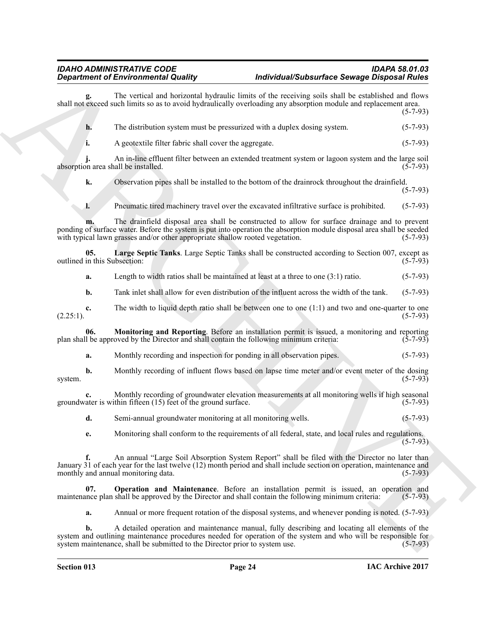<span id="page-23-2"></span><span id="page-23-1"></span><span id="page-23-0"></span>

|                                     | <b>Department of Environmental Quality</b>                                                                                                                                                                                                                                                               | Individual/Subsurface Sewage Disposal Rules                                                                    |                |  |
|-------------------------------------|----------------------------------------------------------------------------------------------------------------------------------------------------------------------------------------------------------------------------------------------------------------------------------------------------------|----------------------------------------------------------------------------------------------------------------|----------------|--|
|                                     | The vertical and horizontal hydraulic limits of the receiving soils shall be established and flows<br>shall not exceed such limits so as to avoid hydraulically overloading any absorption module and replacement area.                                                                                  |                                                                                                                | $(5-7-93)$     |  |
| h.                                  | The distribution system must be pressurized with a duplex dosing system.                                                                                                                                                                                                                                 |                                                                                                                | $(5-7-93)$     |  |
| i.                                  | A geotextile filter fabric shall cover the aggregate.                                                                                                                                                                                                                                                    |                                                                                                                | $(5-7-93)$     |  |
|                                     | An in-line effluent filter between an extended treatment system or lagoon system and the large soil<br>absorption area shall be installed.                                                                                                                                                               |                                                                                                                | $(5-7-93)$     |  |
| k.                                  | Observation pipes shall be installed to the bottom of the drainrock throughout the drainfield.                                                                                                                                                                                                           |                                                                                                                | $(5-7-93)$     |  |
| 1.                                  | Pneumatic tired machinery travel over the excavated infiltrative surface is prohibited.                                                                                                                                                                                                                  |                                                                                                                | $(5-7-93)$     |  |
|                                     | The drainfield disposal area shall be constructed to allow for surface drainage and to prevent<br>ponding of surface water. Before the system is put into operation the absorption module disposal area shall be seeded<br>with typical lawn grasses and/or other appropriate shallow rooted vegetation. |                                                                                                                | $(5-7-93)$     |  |
| 05.<br>outlined in this Subsection: | Large Septic Tanks. Large Septic Tanks shall be constructed according to Section 007, except as                                                                                                                                                                                                          |                                                                                                                | $(5-7-93)$     |  |
| a.                                  | Length to width ratios shall be maintained at least at a three to one $(3:1)$ ratio.                                                                                                                                                                                                                     |                                                                                                                | $(5-7-93)$     |  |
| b.                                  | Tank inlet shall allow for even distribution of the influent across the width of the tank.                                                                                                                                                                                                               |                                                                                                                | $(5-7-93)$     |  |
| c.<br>$(2.25:1)$ .                  | The width to liquid depth ratio shall be between one to one $(1:1)$ and two and one-quarter to one                                                                                                                                                                                                       |                                                                                                                | $(5-7-93)$     |  |
| 06.                                 | Monitoring and Reporting. Before an installation permit is issued, a monitoring and reporting<br>plan shall be approved by the Director and shall contain the following minimum criteria:                                                                                                                |                                                                                                                | $(5-7-93)$     |  |
| a.                                  | Monthly recording and inspection for ponding in all observation pipes.                                                                                                                                                                                                                                   |                                                                                                                | $(5-7-93)$     |  |
| b.<br>system.                       | Monthly recording of influent flows based on lapse time meter and/or event meter of the dosing                                                                                                                                                                                                           |                                                                                                                | $(5 - 7 - 93)$ |  |
| c.                                  | Monthly recording of groundwater elevation measurements at all monitoring wells if high seasonal<br>groundwater is within fifteen $(15)$ feet of the ground surface.                                                                                                                                     |                                                                                                                | $(5-7-93)$     |  |
| d.                                  | Semi-annual groundwater monitoring at all monitoring wells.                                                                                                                                                                                                                                              |                                                                                                                | $(5-7-93)$     |  |
| e.                                  | Monitoring shall conform to the requirements of all federal, state, and local rules and regulations.                                                                                                                                                                                                     |                                                                                                                | $(5-7-93)$     |  |
| f.                                  | An annual "Large Soil Absorption System Report" shall be filed with the Director no later than<br>January 31 of each year for the last twelve (12) month period and shall include section on operation, maintenance and<br>monthly and annual monitoring data.                                           |                                                                                                                | $(5-7-93)$     |  |
| 07.                                 | <b>Operation and Maintenance</b> . Before an installation permit is issued, an operation and<br>maintenance plan shall be approved by the Director and shall contain the following minimum criteria:                                                                                                     |                                                                                                                | $(5-7-93)$     |  |
| a.                                  | Annual or more frequent rotation of the disposal systems, and whenever ponding is noted. (5-7-93)                                                                                                                                                                                                        |                                                                                                                |                |  |
| b.                                  | A detailed operation and maintenance manual, fully describing and locating all elements of the                                                                                                                                                                                                           | system and outlining maintenance procedures needed for operation of the system and who will be responsible for |                |  |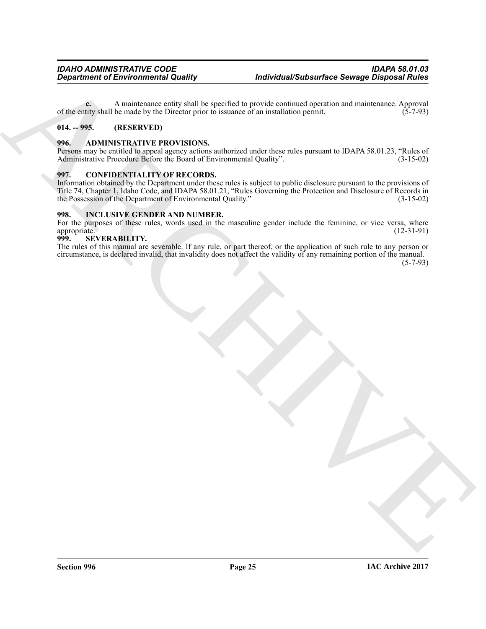**c.** A maintenance entity shall be specified to provide continued operation and maintenance. Approval tity shall be made by the Director prior to issuance of an installation permit. (5-7-93) of the entity shall be made by the Director prior to issuance of an installation permit.

### <span id="page-24-0"></span>**014. -- 995. (RESERVED)**

### <span id="page-24-1"></span>**996. ADMINISTRATIVE PROVISIONS.**

Persons may be entitled to appeal agency actions authorized under these rules pursuant to IDAPA 58.01.23, "Rules of Administrative Procedure Before the Board of Environmental Quality". (3-15-02) Administrative Procedure Before the Board of Environmental Quality".

#### <span id="page-24-2"></span>**997. CONFIDENTIALITY OF RECORDS.**

**Expansion of Environmental Quality through the symptom is introduced space Dispersion of Automatical Systems of Automatical Systems of Automatical Systems of Automatical Systems (Automatical Systems of Automatical System** Information obtained by the Department under these rules is subject to public disclosure pursuant to the provisions of Title 74, Chapter 1, Idaho Code, and IDAPA 58.01.21, "Rules Governing the Protection and Disclosure of Records in the Possession of the Department of Environmental Quality."

#### <span id="page-24-3"></span>**998. INCLUSIVE GENDER AND NUMBER.**

For the purposes of these rules, words used in the masculine gender include the feminine, or vice versa, where appropriate. (12-31-91) appropriate.<br>999. SE

#### <span id="page-24-4"></span>**SEVERABILITY.**

The rules of this manual are severable. If any rule, or part thereof, or the application of such rule to any person or circumstance, is declared invalid, that invalidity does not affect the validity of any remaining portion of the manual.

(5-7-93)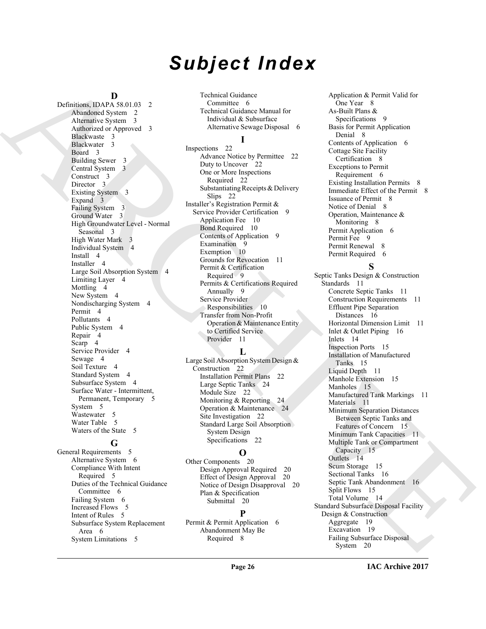# *Subject Index*

#### **D** Definitions, IDAPA 58.01.03 2

[A](#page-1-5)[R](#page-2-13)[CH](#page-10-2)[IV](#page-14-4)[E](#page-14-5) Abandoned System 2 Alternative System 3 Authorized or Approved 3 Blackwaste 3 Blackwater 3 Board 3 Building Sewer 3 Central System 3 Construct<sub>3</sub> Director 3 Existing System 3 Expand 3 Failing System 3 Ground Water 3 High Groundwater Level - Normal Seasonal 3 High Water Mark 3 Individual System 4 Install 4 Installer 4 Large Soil Absorption System 4 Limiting Layer 4 Mottling<sub>4</sub> New System 4 Nondischarging System 4 Permit 4 Pollutants 4 Public System 4 Repair 4 Scarp<sub>4</sub> Service Provider 4 Sewage 4 Soil Texture 4 Standard System 4 Subsurface System 4 Surface Water - Intermittent, Permanent, Temporary 5 System 5 Wastewater 5 Water Table 5 Waters of the State 5

### **G**

General Requirements 5 Alternative System 6 Compliance With Intent Required 5 Duties of the Technical Guidance Committee 6 Failing System 6 Increased Flows 5 Intent of Rules 5 Subsurface System Replacement Area 6 System Limitations 5

Technical Guidance Committee 6 Technical Guidance Manual for Individual & Subsurface Alternative Sewage Disposal 6

### **I**

Inspections 22 Advance Notice by Permittee 22 Duty to Uncover 22 One or More Inspections Required 22 Substantiating Receipts & Delivery Slips 22 Installer's Registration Permit & Service Provider Certification 9 Application Fee 10 Bond Required 10 Contents of Application 9 Examination  $9$ Exemption 10 Grounds for Revocation 11 Permit & Certification Required 9 Permits & Certifications Required Annually 9 Service Provider Responsibilities 10 Transfer from Non-Profit Operation & Maintenance Entity to Certified Service Provider 11

#### **L**

Large Soil Absorption System Design & Construction 22 Installation Permit Plans 22 Large Septic Tanks 24 Module Size 22 Monitoring & Reporting 24 Operation & Maintenance 24 Site Investigation 22 Standard Large Soil Absorption System Design Specifications 22

#### **O**

Other Components 20 Design Approval Required 20 Effect of Design Approval 20 Notice of Design Disapproval 20 Plan & Specification Submittal 20

### **P**

Permit & Permit Application 6 Abandonment May Be Required 8

Application & Permit Valid for One Year 8 As-Built Plans & Specifications 9 Basis for Permit Application Denial 8 Contents of Application 6 Cottage Site Facility Certification 8 Exceptions to Permit Requirement 6 Existing Installation Permits 8 Immediate Effect of the Permit 8 Issuance of Permit 8 Notice of Denial 8 Operation, Maintenance & Monitoring 8 Permit Application 6 Permit Fee 9 Permit Renewal 8 Permit Required 6

### **S**

Septic Tanks Design & Construction Standards 11 Concrete Septic Tanks 11 Construction Requirements 11 Effluent Pipe Separation Distances 16 Horizontal Dimension Limit 11 Inlet & Outlet Piping 16 Inlets 14 Inspection Ports 15 Installation of Manufactured Tanks 15 Liquid Depth 11 Manhole Extension 15 Manholes 15 Manufactured Tank Markings 11 Materials 11 Minimum Separation Distances Between Septic Tanks and Features of Concern 15 Minimum Tank Capacities 11 Multiple Tank or Compartment Capacity 15 Outlets 14 Scum Storage 15 Sectional Tanks 16 Septic Tank Abandonment 16 Split Flows 15 Total Volume 14 Standard Subsurface Disposal Facility Design & Construction Aggregate 19 Excavation 19 Failing Subsurface Disposal System 20